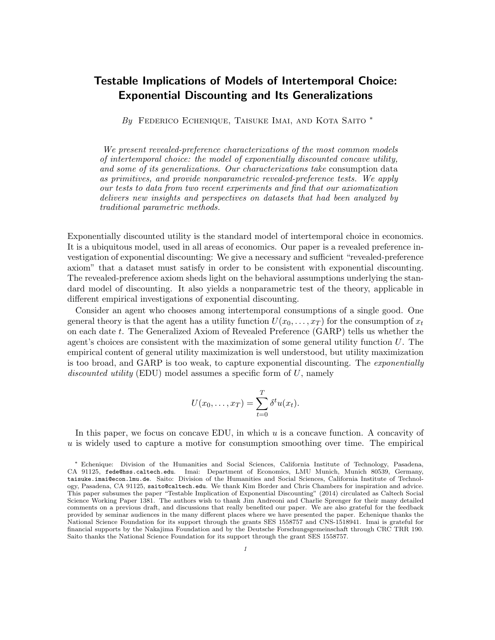# Testable Implications of Models of Intertemporal Choice: Exponential Discounting and Its Generalizations

By FEDERICO ECHENIQUE, TAISUKE IMAI, AND KOTA SAITO \*

We present revealed-preference characterizations of the most common models of intertemporal choice: the model of exponentially discounted concave utility, and some of its generalizations. Our characterizations take consumption data as primitives, and provide nonparametric revealed-preference tests. We apply our tests to data from two recent experiments and find that our axiomatization delivers new insights and perspectives on datasets that had been analyzed by traditional parametric methods.

Exponentially discounted utility is the standard model of intertemporal choice in economics. It is a ubiquitous model, used in all areas of economics. Our paper is a revealed preference investigation of exponential discounting: We give a necessary and sufficient "revealed-preference axiom" that a dataset must satisfy in order to be consistent with exponential discounting. The revealed-preference axiom sheds light on the behavioral assumptions underlying the standard model of discounting. It also yields a nonparametric test of the theory, applicable in different empirical investigations of exponential discounting.

Consider an agent who chooses among intertemporal consumptions of a single good. One general theory is that the agent has a utility function  $U(x_0, \ldots, x_T)$  for the consumption of  $x_t$ on each date t. The Generalized Axiom of Revealed Preference (GARP) tells us whether the agent's choices are consistent with the maximization of some general utility function  $U$ . The empirical content of general utility maximization is well understood, but utility maximization is too broad, and GARP is too weak, to capture exponential discounting. The *exponentially* discounted utility (EDU) model assumes a specific form of  $U$ , namely

$$
U(x_0,\ldots,x_T)=\sum_{t=0}^T \delta^t u(x_t).
$$

In this paper, we focus on concave EDU, in which  $u$  is a concave function. A concavity of  $u$  is widely used to capture a motive for consumption smoothing over time. The empirical

<sup>∗</sup> Echenique: Division of the Humanities and Social Sciences, California Institute of Technology, Pasadena, CA 91125, fede@hss.caltech.edu. Imai: Department of Economics, LMU Munich, Munich 80539, Germany, taisuke.imai@econ.lmu.de. Saito: Division of the Humanities and Social Sciences, California Institute of Technology, Pasadena, CA 91125, saito@caltech.edu. We thank Kim Border and Chris Chambers for inspiration and advice. This paper subsumes the paper "Testable Implication of Exponential Discounting" (2014) circulated as Caltech Social Science Working Paper 1381. The authors wish to thank Jim Andreoni and Charlie Sprenger for their many detailed comments on a previous draft, and discussions that really benefited our paper. We are also grateful for the feedback provided by seminar audiences in the many different places where we have presented the paper. Echenique thanks the National Science Foundation for its support through the grants SES 1558757 and CNS-1518941. Imai is grateful for financial supports by the Nakajima Foundation and by the Deutsche Forschungsgemeinschaft through CRC TRR 190. Saito thanks the National Science Foundation for its support through the grant SES 1558757.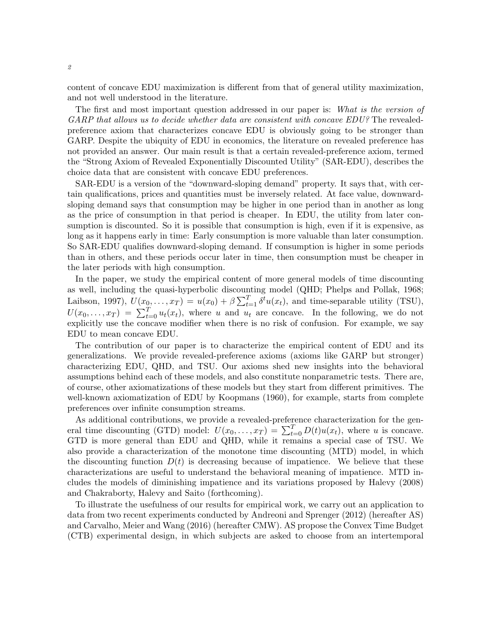content of concave EDU maximization is different from that of general utility maximization, and not well understood in the literature.

The first and most important question addressed in our paper is: What is the version of GARP that allows us to decide whether data are consistent with concave EDU? The revealedpreference axiom that characterizes concave EDU is obviously going to be stronger than GARP. Despite the ubiquity of EDU in economics, the literature on revealed preference has not provided an answer. Our main result is that a certain revealed-preference axiom, termed the "Strong Axiom of Revealed Exponentially Discounted Utility" (SAR-EDU), describes the choice data that are consistent with concave EDU preferences.

SAR-EDU is a version of the "downward-sloping demand" property. It says that, with certain qualifications, prices and quantities must be inversely related. At face value, downwardsloping demand says that consumption may be higher in one period than in another as long as the price of consumption in that period is cheaper. In EDU, the utility from later consumption is discounted. So it is possible that consumption is high, even if it is expensive, as long as it happens early in time: Early consumption is more valuable than later consumption. So SAR-EDU qualifies downward-sloping demand. If consumption is higher in some periods than in others, and these periods occur later in time, then consumption must be cheaper in the later periods with high consumption.

In the paper, we study the empirical content of more general models of time discounting as well, including the quasi-hyperbolic discounting model (QHD; Phelps and Pollak, 1968; Laibson, 1997),  $U(x_0, \ldots, x_T) = u(x_0) + \beta \sum_{t=1}^T \delta^t u(x_t)$ , and time-separable utility (TSU),  $U(x_0,...,x_T) = \sum_{t=0}^T u_t(x_t)$ , where u and  $u_t$  are concave. In the following, we do not explicitly use the concave modifier when there is no risk of confusion. For example, we say EDU to mean concave EDU.

The contribution of our paper is to characterize the empirical content of EDU and its generalizations. We provide revealed-preference axioms (axioms like GARP but stronger) characterizing EDU, QHD, and TSU. Our axioms shed new insights into the behavioral assumptions behind each of these models, and also constitute nonparametric tests. There are, of course, other axiomatizations of these models but they start from different primitives. The well-known axiomatization of EDU by Koopmans (1960), for example, starts from complete preferences over infinite consumption streams.

As additional contributions, we provide a revealed-preference characterization for the general time discounting (GTD) model:  $U(x_0, \ldots, x_T) = \sum_{t=0}^T D(t)u(x_t)$ , where u is concave. GTD is more general than EDU and QHD, while it remains a special case of TSU. We also provide a characterization of the monotone time discounting (MTD) model, in which the discounting function  $D(t)$  is decreasing because of impatience. We believe that these characterizations are useful to understand the behavioral meaning of impatience. MTD includes the models of diminishing impatience and its variations proposed by Halevy (2008) and Chakraborty, Halevy and Saito (forthcoming).

To illustrate the usefulness of our results for empirical work, we carry out an application to data from two recent experiments conducted by Andreoni and Sprenger (2012) (hereafter AS) and Carvalho, Meier and Wang (2016) (hereafter CMW). AS propose the Convex Time Budget (CTB) experimental design, in which subjects are asked to choose from an intertemporal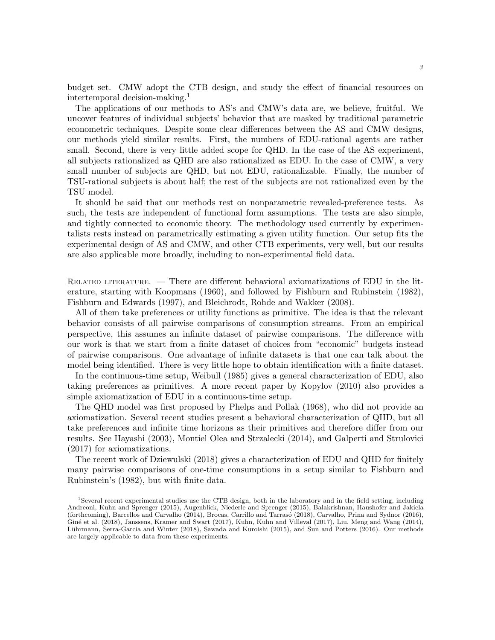budget set. CMW adopt the CTB design, and study the effect of financial resources on intertemporal decision-making.<sup>1</sup>

The applications of our methods to AS's and CMW's data are, we believe, fruitful. We uncover features of individual subjects' behavior that are masked by traditional parametric econometric techniques. Despite some clear differences between the AS and CMW designs, our methods yield similar results. First, the numbers of EDU-rational agents are rather small. Second, there is very little added scope for QHD. In the case of the AS experiment, all subjects rationalized as QHD are also rationalized as EDU. In the case of CMW, a very small number of subjects are QHD, but not EDU, rationalizable. Finally, the number of TSU-rational subjects is about half; the rest of the subjects are not rationalized even by the TSU model.

It should be said that our methods rest on nonparametric revealed-preference tests. As such, the tests are independent of functional form assumptions. The tests are also simple, and tightly connected to economic theory. The methodology used currently by experimentalists rests instead on parametrically estimating a given utility function. Our setup fits the experimental design of AS and CMW, and other CTB experiments, very well, but our results are also applicable more broadly, including to non-experimental field data.

RELATED LITERATURE. — There are different behavioral axiomatizations of EDU in the literature, starting with Koopmans (1960), and followed by Fishburn and Rubinstein (1982), Fishburn and Edwards (1997), and Bleichrodt, Rohde and Wakker (2008).

All of them take preferences or utility functions as primitive. The idea is that the relevant behavior consists of all pairwise comparisons of consumption streams. From an empirical perspective, this assumes an infinite dataset of pairwise comparisons. The difference with our work is that we start from a finite dataset of choices from "economic" budgets instead of pairwise comparisons. One advantage of infinite datasets is that one can talk about the model being identified. There is very little hope to obtain identification with a finite dataset.

In the continuous-time setup, Weibull (1985) gives a general characterization of EDU, also taking preferences as primitives. A more recent paper by Kopylov (2010) also provides a simple axiomatization of EDU in a continuous-time setup.

The QHD model was first proposed by Phelps and Pollak (1968), who did not provide an axiomatization. Several recent studies present a behavioral characterization of QHD, but all take preferences and infinite time horizons as their primitives and therefore differ from our results. See Hayashi (2003), Montiel Olea and Strzalecki (2014), and Galperti and Strulovici (2017) for axiomatizations.

The recent work of Dziewulski (2018) gives a characterization of EDU and QHD for finitely many pairwise comparisons of one-time consumptions in a setup similar to Fishburn and Rubinstein's (1982), but with finite data.

<sup>1</sup>Several recent experimental studies use the CTB design, both in the laboratory and in the field setting, including Andreoni, Kuhn and Sprenger (2015), Augenblick, Niederle and Sprenger (2015), Balakrishnan, Haushofer and Jakiela (forthcoming), Barcellos and Carvalho (2014), Brocas, Carrillo and Tarrasó (2018), Carvalho, Prina and Sydnor (2016), Giné et al. (2018), Janssens, Kramer and Swart (2017), Kuhn, Kuhn and Villeval (2017), Liu, Meng and Wang (2014), Lührmann, Serra-Garcia and Winter (2018), Sawada and Kuroishi (2015), and Sun and Potters (2016). Our methods are largely applicable to data from these experiments.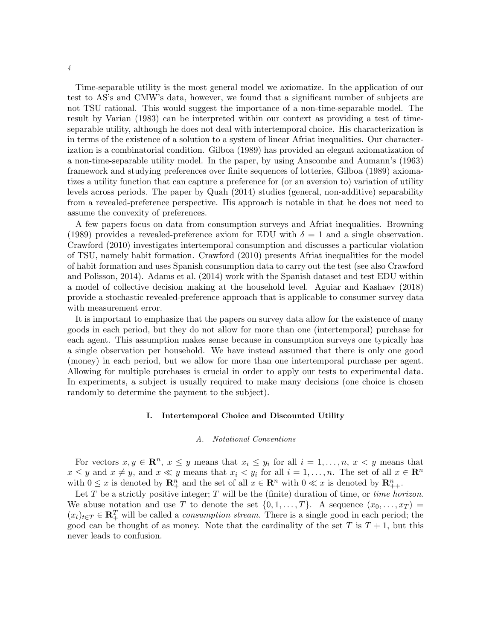Time-separable utility is the most general model we axiomatize. In the application of our test to AS's and CMW's data, however, we found that a significant number of subjects are not TSU rational. This would suggest the importance of a non-time-separable model. The result by Varian (1983) can be interpreted within our context as providing a test of timeseparable utility, although he does not deal with intertemporal choice. His characterization is in terms of the existence of a solution to a system of linear Afriat inequalities. Our characterization is a combinatorial condition. Gilboa (1989) has provided an elegant axiomatization of a non-time-separable utility model. In the paper, by using Anscombe and Aumann's (1963) framework and studying preferences over finite sequences of lotteries, Gilboa (1989) axiomatizes a utility function that can capture a preference for (or an aversion to) variation of utility levels across periods. The paper by Quah (2014) studies (general, non-additive) separability from a revealed-preference perspective. His approach is notable in that he does not need to assume the convexity of preferences.

A few papers focus on data from consumption surveys and Afriat inequalities. Browning (1989) provides a revealed-preference axiom for EDU with  $\delta = 1$  and a single observation. Crawford (2010) investigates intertemporal consumption and discusses a particular violation of TSU, namely habit formation. Crawford (2010) presents Afriat inequalities for the model of habit formation and uses Spanish consumption data to carry out the test (see also Crawford and Polisson, 2014). Adams et al. (2014) work with the Spanish dataset and test EDU within a model of collective decision making at the household level. Aguiar and Kashaev (2018) provide a stochastic revealed-preference approach that is applicable to consumer survey data with measurement error.

It is important to emphasize that the papers on survey data allow for the existence of many goods in each period, but they do not allow for more than one (intertemporal) purchase for each agent. This assumption makes sense because in consumption surveys one typically has a single observation per household. We have instead assumed that there is only one good (money) in each period, but we allow for more than one intertemporal purchase per agent. Allowing for multiple purchases is crucial in order to apply our tests to experimental data. In experiments, a subject is usually required to make many decisions (one choice is chosen randomly to determine the payment to the subject).

#### I. Intertemporal Choice and Discounted Utility

## A. Notational Conventions

For vectors  $x, y \in \mathbb{R}^n$ ,  $x \leq y$  means that  $x_i \leq y_i$  for all  $i = 1, \ldots, n$ ,  $x < y$  means that  $x \leq y$  and  $x \neq y$ , and  $x \ll y$  means that  $x_i \lt y_i$  for all  $i = 1, ..., n$ . The set of all  $x \in \mathbb{R}^n$ with  $0 \leq x$  is denoted by  $\mathbb{R}^n_+$  and the set of all  $x \in \mathbb{R}^n$  with  $0 \ll x$  is denoted by  $\mathbb{R}^n_{++}$ .

Let T be a strictly positive integer; T will be the (finite) duration of time, or time horizon. We abuse notation and use T to denote the set  $\{0, 1, \ldots, T\}$ . A sequence  $(x_0, \ldots, x_T)$  $(x_t)_{t\in T} \in \mathbb{R}_+^T$  will be called a *consumption stream*. There is a single good in each period; the good can be thought of as money. Note that the cardinality of the set T is  $T + 1$ , but this never leads to confusion.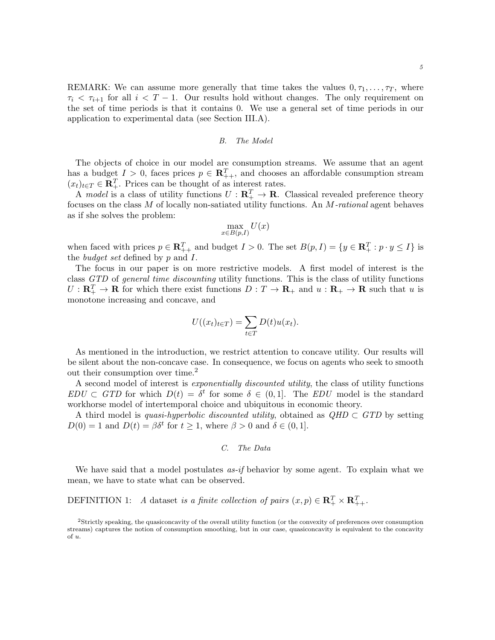REMARK: We can assume more generally that time takes the values  $0, \tau_1, \ldots, \tau_T$ , where  $\tau_i < \tau_{i+1}$  for all  $i < T-1$ . Our results hold without changes. The only requirement on the set of time periods is that it contains 0. We use a general set of time periods in our application to experimental data (see Section III.A).

## B. The Model

The objects of choice in our model are consumption streams. We assume that an agent has a budget  $I > 0$ , faces prices  $p \in \mathbb{R}_{++}^T$ , and chooses an affordable consumption stream  $(x_t)_{t \in T} \in \mathbb{R}_+^T$ . Prices can be thought of as interest rates.

A model is a class of utility functions  $U: \mathbb{R}^T_+ \to \mathbb{R}$ . Classical revealed preference theory focuses on the class  $M$  of locally non-satiated utility functions. An  $M$ -rational agent behaves as if she solves the problem:

$$
\max_{x \in B(p,I)} U(x)
$$

when faced with prices  $p \in \mathbb{R}_{++}^T$  and budget  $I > 0$ . The set  $B(p, I) = \{y \in \mathbb{R}_{+}^T : p \cdot y \leq I\}$  is the *budget set* defined by  $p$  and  $I$ .

The focus in our paper is on more restrictive models. A first model of interest is the class GTD of general time discounting utility functions. This is the class of utility functions  $U: \mathbb{R}_+^T \to \mathbb{R}$  for which there exist functions  $D: T \to \mathbb{R}_+$  and  $u: \mathbb{R}_+ \to \mathbb{R}$  such that u is monotone increasing and concave, and

$$
U((x_t)_{t \in T}) = \sum_{t \in T} D(t)u(x_t).
$$

As mentioned in the introduction, we restrict attention to concave utility. Our results will be silent about the non-concave case. In consequence, we focus on agents who seek to smooth out their consumption over time.<sup>2</sup>

A second model of interest is *exponentially discounted utility*, the class of utility functions  $EDU \subset GTD$  for which  $D(t) = \delta^t$  for some  $\delta \in (0,1]$ . The EDU model is the standard workhorse model of intertemporal choice and ubiquitous in economic theory.

A third model is quasi-hyperbolic discounted utility, obtained as  $QHD \subset GTD$  by setting  $D(0) = 1$  and  $D(t) = \beta \delta^t$  for  $t \ge 1$ , where  $\beta > 0$  and  $\delta \in (0, 1]$ .

# C. The Data

We have said that a model postulates as-if behavior by some agent. To explain what we mean, we have to state what can be observed.

DEFINITION 1: A dataset is a finite collection of pairs  $(x, p) \in \mathbb{R}_+^T \times \mathbb{R}_{++}^T$ .

<sup>2</sup>Strictly speaking, the quasiconcavity of the overall utility function (or the convexity of preferences over consumption streams) captures the notion of consumption smoothing, but in our case, quasiconcavity is equivalent to the concavity of u.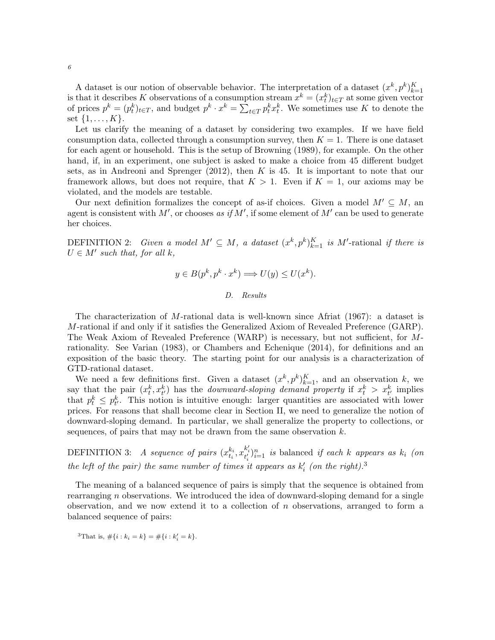A dataset is our notion of observable behavior. The interpretation of a dataset  $(x^k, p^k)_{k=1}^K$ is that it describes K observations of a consumption stream  $x^k = (x_t^k)_{t \in T}$  at some given vector of prices  $p^k = (p_t^k)_{t \in T}$ , and budget  $p^k \cdot x^k = \sum_{t \in T} p_t^k x_t^k$ . We sometimes use K to denote the set  $\{1, \ldots, K\}.$ 

Let us clarify the meaning of a dataset by considering two examples. If we have field consumption data, collected through a consumption survey, then  $K = 1$ . There is one dataset for each agent or household. This is the setup of Browning (1989), for example. On the other hand, if, in an experiment, one subject is asked to make a choice from 45 different budget sets, as in Andreoni and Sprenger  $(2012)$ , then K is 45. It is important to note that our framework allows, but does not require, that  $K > 1$ . Even if  $K = 1$ , our axioms may be violated, and the models are testable.

Our next definition formalizes the concept of as-if choices. Given a model  $M' \subseteq M$ , an agent is consistent with  $M'$ , or chooses as if  $M'$ , if some element of  $M'$  can be used to generate her choices.

DEFINITION 2: Given a model  $M' \subseteq M$ , a dataset  $(x^k, p^k)_{k=1}^K$  is M'-rational if there is  $U \in M'$  such that, for all k,

$$
y \in B(p^k, p^k \cdot x^k) \Longrightarrow U(y) \le U(x^k).
$$

#### D. Results

The characterization of M-rational data is well-known since Afriat (1967): a dataset is M-rational if and only if it satisfies the Generalized Axiom of Revealed Preference (GARP). The Weak Axiom of Revealed Preference (WARP) is necessary, but not sufficient, for Mrationality. See Varian (1983), or Chambers and Echenique (2014), for definitions and an exposition of the basic theory. The starting point for our analysis is a characterization of GTD-rational dataset.

We need a few definitions first. Given a dataset  $(x^k, p^k)_{k=1}^K$ , and an observation k, we say that the pair  $(x_t^k, x_{t'}^k)$  has the *downward-sloping demand property* if  $x_t^k > x_{t'}^k$  implies that  $p_t^k \leq p_{t'}^k$ . This notion is intuitive enough: larger quantities are associated with lower prices. For reasons that shall become clear in Section II, we need to generalize the notion of downward-sloping demand. In particular, we shall generalize the property to collections, or sequences, of pairs that may not be drawn from the same observation  $k$ .

DEFINITION 3: A sequence of pairs  $(x_{t_i}^{k_i}, x_{t_i'}^{k_i'})_{i=1}^n$  is balanced if each k appears as  $k_i$  (on the left of the pair) the same number of times it appears as  $k_i'$  (on the right).<sup>3</sup>

The meaning of a balanced sequence of pairs is simply that the sequence is obtained from rearranging n observations. We introduced the idea of downward-sloping demand for a single observation, and we now extend it to a collection of  $n$  observations, arranged to form a balanced sequence of pairs:

<sup>3</sup>That is,  $\#\{i : k_i = k\} = \#\{i : k'_i = k\}.$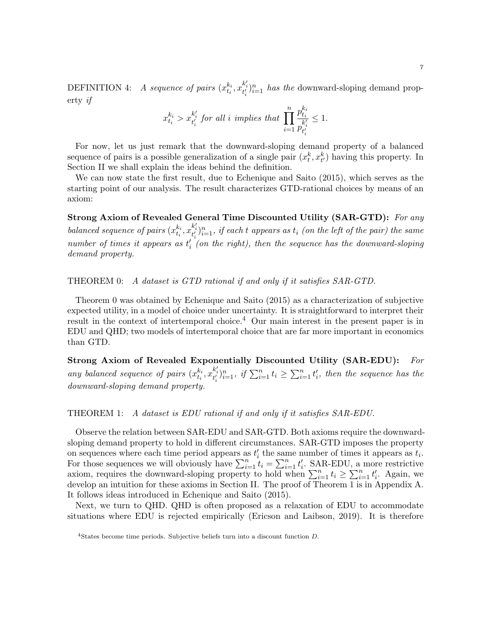DEFINITION 4: A sequence of pairs  $(x_{t_i}^{k_i}, x_{t_i'}^{k_i'})_{i=1}^n$  has the downward-sloping demand property if

$$
x_{t_i}^{k_i} > x_{t_i'}^{k_i'} \text{ for all } i \text{ implies that } \prod_{i=1}^n \frac{p_{t_i}^{k_i}}{p_{t_i'}} \leq 1.
$$

For now, let us just remark that the downward-sloping demand property of a balanced sequence of pairs is a possible generalization of a single pair  $(x_t^k, x_{t'}^k)$  having this property. In Section II we shall explain the ideas behind the definition.

We can now state the first result, due to Echenique and Saito (2015), which serves as the starting point of our analysis. The result characterizes GTD-rational choices by means of an axiom:

Strong Axiom of Revealed General Time Discounted Utility (SAR-GTD): For any balanced sequence of pairs  $(x_{t_i}^{k_i}, x_{t'_i}^{k'_i})_{i=1}^n$ , if each t appears as  $t_i$  (on the left of the pair) the same number of times it appears as  $t_i'$  (on the right), then the sequence has the downward-sloping demand property.

THEOREM 0: A dataset is GTD rational if and only if it satisfies SAR-GTD.

Theorem 0 was obtained by Echenique and Saito (2015) as a characterization of subjective expected utility, in a model of choice under uncertainty. It is straightforward to interpret their result in the context of intertemporal choice.<sup>4</sup> Our main interest in the present paper is in EDU and QHD; two models of intertemporal choice that are far more important in economics than GTD.

Strong Axiom of Revealed Exponentially Discounted Utility (SAR-EDU): For any balanced sequence of pairs  $(x_{t_i}^{k_i}, x_{t_i'}^{k_i'})_{i=1}^n$ , if  $\sum_{i=1}^n t_i \geq \sum_{i=1}^n t_i'$ , then the sequence has the downward-sloping demand property.

THEOREM 1: A dataset is EDU rational if and only if it satisfies SAR-EDU.

Observe the relation between SAR-EDU and SAR-GTD. Both axioms require the downwardsloping demand property to hold in different circumstances. SAR-GTD imposes the property on sequences where each time period appears as  $t'_{i}$  the same number of times it appears as  $t_{i}$ . on sequences where each time period appears as  $t_i$  the same number of times it appears as  $t_i$ .<br>For those sequences we will obviously have  $\sum_{i=1}^n t_i = \sum_{i=1}^n t'_i$ . SAR-EDU, a more restrictive axiom, requires the downward-sloping property to hold when  $\sum_{i=1}^{n} t_i \ge \sum_{i=1}^{n} t'_i$ . Again, we develop an intuition for these axioms in Section II. The proof of Theorem 1 is in Appendix A. It follows ideas introduced in Echenique and Saito (2015).

Next, we turn to QHD. QHD is often proposed as a relaxation of EDU to accommodate situations where EDU is rejected empirically (Ericson and Laibson, 2019). It is therefore

<sup>&</sup>lt;sup>4</sup>States become time periods. Subjective beliefs turn into a discount function D.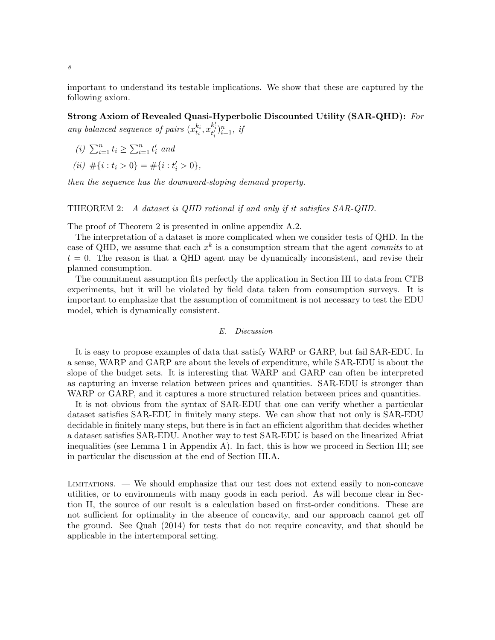important to understand its testable implications. We show that these are captured by the following axiom.

Strong Axiom of Revealed Quasi-Hyperbolic Discounted Utility (SAR-QHD): For any balanced sequence of pairs  $(x_{t_i}^{k_i}, x_{t'_i}^{k'_i})_{i=1}^n$ , if

- (i)  $\sum_{i=1}^n t_i \geq \sum_{i=1}^n t'_i$  and
- (*ii*)  $\#\{i : t_i > 0\} = \#\{i : t'_i > 0\},\$

then the sequence has the downward-sloping demand property.

THEOREM 2: A dataset is QHD rational if and only if it satisfies SAR-QHD.

The proof of Theorem 2 is presented in online appendix A.2.

The interpretation of a dataset is more complicated when we consider tests of QHD. In the case of QHD, we assume that each  $x^k$  is a consumption stream that the agent *commits* to at  $t = 0$ . The reason is that a QHD agent may be dynamically inconsistent, and revise their planned consumption.

The commitment assumption fits perfectly the application in Section III to data from CTB experiments, but it will be violated by field data taken from consumption surveys. It is important to emphasize that the assumption of commitment is not necessary to test the EDU model, which is dynamically consistent.

# E. Discussion

It is easy to propose examples of data that satisfy WARP or GARP, but fail SAR-EDU. In a sense, WARP and GARP are about the levels of expenditure, while SAR-EDU is about the slope of the budget sets. It is interesting that WARP and GARP can often be interpreted as capturing an inverse relation between prices and quantities. SAR-EDU is stronger than WARP or GARP, and it captures a more structured relation between prices and quantities.

It is not obvious from the syntax of SAR-EDU that one can verify whether a particular dataset satisfies SAR-EDU in finitely many steps. We can show that not only is SAR-EDU decidable in finitely many steps, but there is in fact an efficient algorithm that decides whether a dataset satisfies SAR-EDU. Another way to test SAR-EDU is based on the linearized Afriat inequalities (see Lemma 1 in Appendix A). In fact, this is how we proceed in Section III; see in particular the discussion at the end of Section III.A.

Limitations. — We should emphasize that our test does not extend easily to non-concave utilities, or to environments with many goods in each period. As will become clear in Section II, the source of our result is a calculation based on first-order conditions. These are not sufficient for optimality in the absence of concavity, and our approach cannot get off the ground. See Quah (2014) for tests that do not require concavity, and that should be applicable in the intertemporal setting.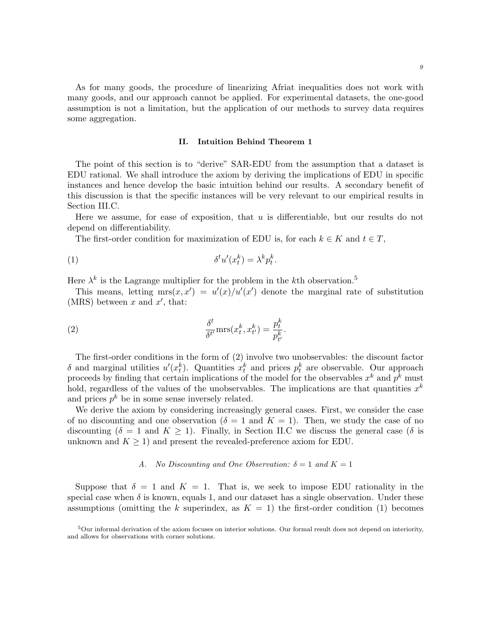As for many goods, the procedure of linearizing Afriat inequalities does not work with many goods, and our approach cannot be applied. For experimental datasets, the one-good assumption is not a limitation, but the application of our methods to survey data requires some aggregation.

# II. Intuition Behind Theorem 1

The point of this section is to "derive" SAR-EDU from the assumption that a dataset is EDU rational. We shall introduce the axiom by deriving the implications of EDU in specific instances and hence develop the basic intuition behind our results. A secondary benefit of this discussion is that the specific instances will be very relevant to our empirical results in Section III.C.

Here we assume, for ease of exposition, that  $u$  is differentiable, but our results do not depend on differentiability.

The first-order condition for maximization of EDU is, for each  $k \in K$  and  $t \in T$ ,

(1) δ tu 0 (x k t ) = λ k p k t .

Here  $\lambda^k$  is the Lagrange multiplier for the problem in the kth observation.<sup>5</sup>

This means, letting  $mrs(x, x') = u'(x)/u'(x')$  denote the marginal rate of substitution (MRS) between  $x$  and  $x'$ , that:

(2) 
$$
\frac{\delta^t}{\delta^{t'}} \text{mrs}(x_t^k, x_{t'}^k) = \frac{p_t^k}{p_{t'}^k}.
$$

The first-order conditions in the form of (2) involve two unobservables: the discount factor δ and marginal utilities  $u'(x_t^k)$ . Quantities  $x_t^k$  and prices  $p_t^k$  are observable. Our approach proceeds by finding that certain implications of the model for the observables  $x^k$  and  $p^k$  must hold, regardless of the values of the unobservables. The implications are that quantities  $x^k$ and prices  $p^k$  be in some sense inversely related.

We derive the axiom by considering increasingly general cases. First, we consider the case of no discounting and one observation ( $\delta = 1$  and  $K = 1$ ). Then, we study the case of no discounting  $(\delta = 1 \text{ and } K \ge 1)$ . Finally, in Section II.C we discuss the general case ( $\delta$  is unknown and  $K \geq 1$  and present the revealed-preference axiom for EDU.

# A. No Discounting and One Observation:  $\delta = 1$  and  $K = 1$

Suppose that  $\delta = 1$  and  $K = 1$ . That is, we seek to impose EDU rationality in the special case when  $\delta$  is known, equals 1, and our dataset has a single observation. Under these assumptions (omitting the k superindex, as  $K = 1$ ) the first-order condition (1) becomes

 $5$ Our informal derivation of the axiom focuses on interior solutions. Our formal result does not depend on interiority, and allows for observations with corner solutions.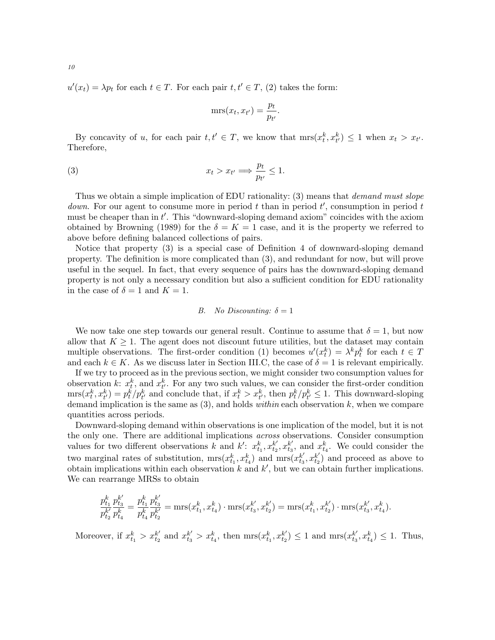$u'(x_t) = \lambda p_t$  for each  $t \in T$ . For each pair  $t, t' \in T$ , (2) takes the form:

$$
\text{mrs}(x_t, x_{t'}) = \frac{p_t}{p_{t'}}.
$$

By concavity of u, for each pair  $t, t' \in T$ , we know that  $\text{mrs}(x_t^k, x_{t'}^k) \leq 1$  when  $x_t > x_{t'}$ . Therefore,

(3) 
$$
x_t > x_{t'} \Longrightarrow \frac{p_t}{p_{t'}} \leq 1.
$$

Thus we obtain a simple implication of EDU rationality: (3) means that demand must slope *down*. For our agent to consume more in period  $t$  than in period  $t'$ , consumption in period  $t$ must be cheaper than in  $t'$ . This "downward-sloping demand axiom" coincides with the axiom obtained by Browning (1989) for the  $\delta = K = 1$  case, and it is the property we referred to above before defining balanced collections of pairs.

Notice that property (3) is a special case of Definition 4 of downward-sloping demand property. The definition is more complicated than (3), and redundant for now, but will prove useful in the sequel. In fact, that every sequence of pairs has the downward-sloping demand property is not only a necessary condition but also a sufficient condition for EDU rationality in the case of  $\delta = 1$  and  $K = 1$ .

# B. No Discounting:  $\delta = 1$

We now take one step towards our general result. Continue to assume that  $\delta = 1$ , but now allow that  $K \geq 1$ . The agent does not discount future utilities, but the dataset may contain multiple observations. The first-order condition (1) becomes  $u'(x_t^k) = \lambda^k p_t^k$  for each  $t \in T$ and each  $k \in K$ . As we discuss later in Section III.C, the case of  $\delta = 1$  is relevant empirically.

If we try to proceed as in the previous section, we might consider two consumption values for observation k:  $x_t^k$ , and  $x_{t'}^k$ . For any two such values, we can consider the first-order condition  $\text{mrs}(x_t^k, x_{t'}^k) = p_t^k/p_{t'}^k$  and conclude that, if  $x_t^k > x_{t'}^k$ , then  $p_t^k/p_{t'}^k \leq 1$ . This downward-sloping demand implication is the same as  $(3)$ , and holds within each observation k, when we compare quantities across periods.

Downward-sloping demand within observations is one implication of the model, but it is not the only one. There are additional implications *across* observations. Consider consumption values for two different observations k and k':  $x_{t_1}^k, x_{t_2}^{k'}, x_{t_3}^{k'}$ , and  $x_{t_4}^k$ . We could consider the two marginal rates of substitution,  $\text{mrs}(x_{t_1}^k, x_{t_4}^k)$  and  $\text{mrs}(x_{t_3}^{k'}, x_{t_2}^{k'})$  and proceed as above to obtain implications within each observation  $k$  and  $k'$ , but we can obtain further implications. We can rearrange MRSs to obtain

$$
\frac{p_{t_1}^k}{p_{t_2}^{k'}} \frac{p_{t_3}^{k'}}{p_{t_4}^k} = \frac{p_{t_1}^k}{p_{t_4}^k} \frac{p_{t_3}^{k'}}{p_{t_2}^{k'}} = \text{mrs}(x_{t_1}^k, x_{t_4}^k) \cdot \text{mrs}(x_{t_3}^{k'}, x_{t_2}^{k'}) = \text{mrs}(x_{t_1}^k, x_{t_2}^{k'}) \cdot \text{mrs}(x_{t_3}^{k'}, x_{t_4}^k).
$$

Moreover, if  $x_{t_1}^k > x_{t_2}^{k'}$  and  $x_{t_3}^{k'} > x_{t_4}^k$ , then  $\text{mrs}(x_{t_1}^k, x_{t_2}^{k'}) \leq 1$  and  $\text{mrs}(x_{t_3}^{k'}, x_{t_4}^k) \leq 1$ . Thus,

10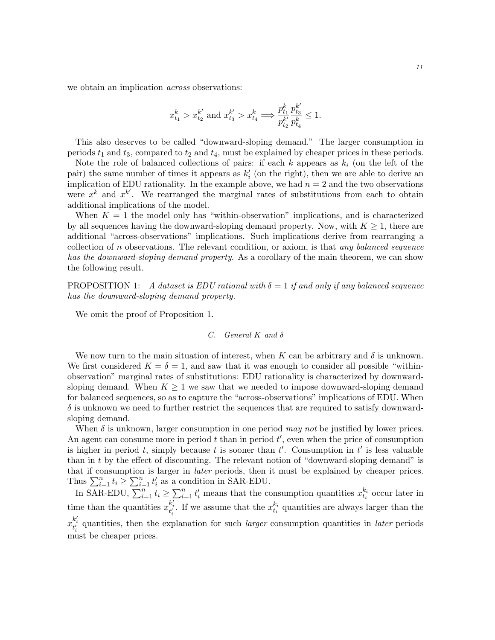we obtain an implication *across* observations:

$$
x_{t_1}^k > x_{t_2}^{k'} \text{ and } x_{t_3}^{k'} > x_{t_4}^k \Longrightarrow \frac{p_{t_1}^k}{p_{t_2}^{k'}} \frac{p_{t_3}^{k'}}{p_{t_4}^k} \leq 1.
$$

This also deserves to be called "downward-sloping demand." The larger consumption in periods  $t_1$  and  $t_3$ , compared to  $t_2$  and  $t_4$ , must be explained by cheaper prices in these periods.

Note the role of balanced collections of pairs: if each  $k$  appears as  $k_i$  (on the left of the pair) the same number of times it appears as  $k_i'$  (on the right), then we are able to derive an implication of EDU rationality. In the example above, we had  $n = 2$  and the two observations were  $x^k$  and  $x^{k'}$ . We rearranged the marginal rates of substitutions from each to obtain additional implications of the model.

When  $K = 1$  the model only has "within-observation" implications, and is characterized by all sequences having the downward-sloping demand property. Now, with  $K \geq 1$ , there are additional "across-observations" implications. Such implications derive from rearranging a collection of n observations. The relevant condition, or axiom, is that any balanced sequence has the downward-sloping demand property. As a corollary of the main theorem, we can show the following result.

PROPOSITION 1: A dataset is EDU rational with  $\delta = 1$  if and only if any balanced sequence has the downward-sloping demand property.

We omit the proof of Proposition 1.

# C. General K and  $\delta$

We now turn to the main situation of interest, when K can be arbitrary and  $\delta$  is unknown. We first considered  $K = \delta = 1$ , and saw that it was enough to consider all possible "withinobservation" marginal rates of substitutions: EDU rationality is characterized by downwardsloping demand. When  $K \geq 1$  we saw that we needed to impose downward-sloping demand for balanced sequences, so as to capture the "across-observations" implications of EDU. When  $\delta$  is unknown we need to further restrict the sequences that are required to satisfy downwardsloping demand.

When  $\delta$  is unknown, larger consumption in one period may not be justified by lower prices. An agent can consume more in period  $t$  than in period  $t'$ , even when the price of consumption is higher in period t, simply because t is sooner than  $t'$ . Consumption in  $t'$  is less valuable than in t by the effect of discounting. The relevant notion of "downward-sloping demand" is that if consumption is larger in later periods, then it must be explained by cheaper prices. Thus  $\sum_{i=1}^{n} t_i \geq \sum_{i=1}^{n} t'_i$  as a condition in SAR-EDU.

In SAR-EDU,  $\sum_{i=1}^n t_i \geq \sum_{i=1}^n t'_i$  means that the consumption quantities  $x_{t_i}^{k_i}$  occur later in time than the quantities  $x_{t_i'}^{k_i'}$ . If we assume that the  $x_{t_i}^{k_i}$  quantities are always larger than the  $x_{t_i'}^{k_i'}$  quantities, then the explanation for such *larger* consumption quantities in *later* periods must be cheaper prices.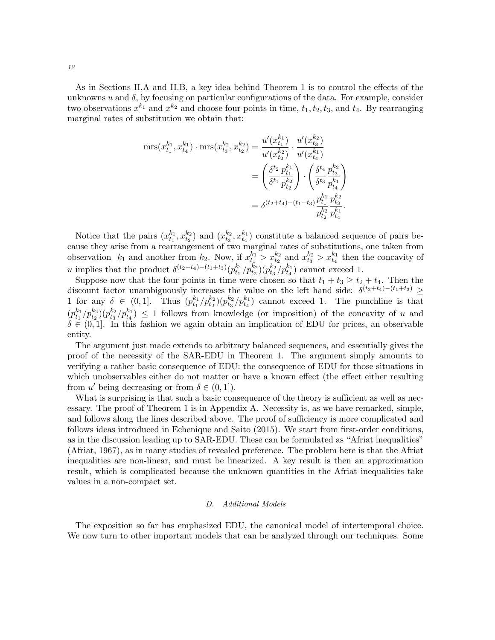As in Sections II.A and II.B, a key idea behind Theorem 1 is to control the effects of the unknowns u and  $\delta$ , by focusing on particular configurations of the data. For example, consider two observations  $x^{k_1}$  and  $x^{k_2}$  and choose four points in time,  $t_1, t_2, t_3$ , and  $t_4$ . By rearranging marginal rates of substitution we obtain that:

$$
\begin{split} \text{mrs}(x_{t_1}^{k_1}, x_{t_4}^{k_1}) \cdot \text{mrs}(x_{t_3}^{k_2}, x_{t_2}^{k_2}) &= \frac{u'(x_{t_1}^{k_1})}{u'(x_{t_2}^{k_2})} \cdot \frac{u'(x_{t_3}^{k_2})}{u'(x_{t_4}^{k_1})} \\ &= \left(\frac{\delta^{t_2}}{\delta^{t_1}} \frac{p_{t_1}^{k_1}}{p_{t_2}^{k_2}}\right) \cdot \left(\frac{\delta^{t_4}}{\delta^{t_3}} \frac{p_{t_3}^{k_2}}{p_{t_4}^{k_4}}\right) \\ &= \delta^{(t_2 + t_4) - (t_1 + t_3)} \frac{p_{t_1}^{k_1}}{p_{t_2}^{k_2}} \frac{p_{t_3}^{k_2}}{p_{t_4}^{k_1}}. \end{split}
$$

Notice that the pairs  $(x_{t_1}^{k_1}, x_{t_2}^{k_2})$  and  $(x_{t_3}^{k_2}, x_{t_4}^{k_1})$  constitute a balanced sequence of pairs because they arise from a rearrangement of two marginal rates of substitutions, one taken from observation  $k_1$  and another from  $k_2$ . Now, if  $x_{t_1}^{k_1} > x_{t_2}^{k_2}$  and  $x_{t_3}^{k_2} > x_{t_4}^{k_1}$  then the concavity of u implies that the product  $\delta^{(t_2+t_4)-(t_1+t_3)}(p_{t_1}^{k_1}/p_{t_2}^{k_2})(p_{t_3}^{k_2}/p_{t_4}^{k_1})$  cannot exceed 1.

Suppose now that the four points in time were chosen so that  $t_1 + t_3 \geq t_2 + t_4$ . Then the discount factor unambiguously increases the value on the left hand side:  $\delta^{(t_2+t_4)-(t_1+t_3)} \geq$ 1 for any  $\delta \in (0,1]$ . Thus  $(p_{t_1}^{k_1}/p_{t_2}^{k_2})(p_{t_3}^{k_2}/p_{t_4}^{k_1})$  cannot exceed 1. The punchline is that  $(p_{t_1}^{k_1}/p_{t_2}^{k_2})(p_{t_3}^{k_2}/p_{t_4}^{k_1}) \leq 1$  follows from knowledge (or imposition) of the concavity of u and  $\delta \in (0,1]$ . In this fashion we again obtain an implication of EDU for prices, an observable entity.

The argument just made extends to arbitrary balanced sequences, and essentially gives the proof of the necessity of the SAR-EDU in Theorem 1. The argument simply amounts to verifying a rather basic consequence of EDU: the consequence of EDU for those situations in which unobservables either do not matter or have a known effect (the effect either resulting from  $u'$  being decreasing or from  $\delta \in (0,1]$ .

What is surprising is that such a basic consequence of the theory is sufficient as well as necessary. The proof of Theorem 1 is in Appendix A. Necessity is, as we have remarked, simple, and follows along the lines described above. The proof of sufficiency is more complicated and follows ideas introduced in Echenique and Saito (2015). We start from first-order conditions, as in the discussion leading up to SAR-EDU. These can be formulated as "Afriat inequalities" (Afriat, 1967), as in many studies of revealed preference. The problem here is that the Afriat inequalities are non-linear, and must be linearized. A key result is then an approximation result, which is complicated because the unknown quantities in the Afriat inequalities take values in a non-compact set.

#### D. Additional Models

The exposition so far has emphasized EDU, the canonical model of intertemporal choice. We now turn to other important models that can be analyzed through our techniques. Some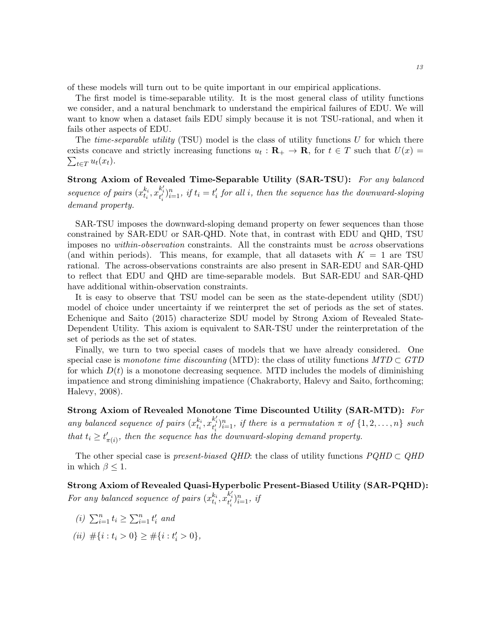of these models will turn out to be quite important in our empirical applications.

The first model is time-separable utility. It is the most general class of utility functions we consider, and a natural benchmark to understand the empirical failures of EDU. We will want to know when a dataset fails EDU simply because it is not TSU-rational, and when it fails other aspects of EDU.

The *time-separable utility* (TSU) model is the class of utility functions  $U$  for which there exists concave and strictly increasing functions  $u_t : \mathbf{R}_+ \to \mathbf{R}$ , for  $t \in T$  such that  $U(x) =$  $\sum_{t \in T} u_t(x_t)$ .

Strong Axiom of Revealed Time-Separable Utility (SAR-TSU): For any balanced sequence of pairs  $(x_{t_i}^{k_i}, x_{t_i'}^{k_i'})_{i=1}^n$ , if  $t_i = t_i'$  for all i, then the sequence has the downward-sloping demand property.

SAR-TSU imposes the downward-sloping demand property on fewer sequences than those constrained by SAR-EDU or SAR-QHD. Note that, in contrast with EDU and QHD, TSU imposes no within-observation constraints. All the constraints must be across observations (and within periods). This means, for example, that all datasets with  $K = 1$  are TSU rational. The across-observations constraints are also present in SAR-EDU and SAR-QHD to reflect that EDU and QHD are time-separable models. But SAR-EDU and SAR-QHD have additional within-observation constraints.

It is easy to observe that TSU model can be seen as the state-dependent utility (SDU) model of choice under uncertainty if we reinterpret the set of periods as the set of states. Echenique and Saito (2015) characterize SDU model by Strong Axiom of Revealed State-Dependent Utility. This axiom is equivalent to SAR-TSU under the reinterpretation of the set of periods as the set of states.

Finally, we turn to two special cases of models that we have already considered. One special case is monotone time discounting (MTD): the class of utility functions  $MTD \subset GTD$ for which  $D(t)$  is a monotone decreasing sequence. MTD includes the models of diminishing impatience and strong diminishing impatience (Chakraborty, Halevy and Saito, forthcoming; Halevy, 2008).

Strong Axiom of Revealed Monotone Time Discounted Utility (SAR-MTD): For any balanced sequence of pairs  $(x_{t_i}^{k_i}, x_{t_i'}^{k_i'})_{i=1}^n$ , if there is a permutation  $\pi$  of  $\{1, 2, ..., n\}$  such that  $t_i \geq t'_{\pi(i)}$ , then the sequence has the downward-sloping demand property.

The other special case is *present-biased QHD*: the class of utility functions  $PQHD \subset QHD$ in which  $\beta \leq 1$ .

Strong Axiom of Revealed Quasi-Hyperbolic Present-Biased Utility (SAR-PQHD): For any balanced sequence of pairs  $(x_{t_i}^{k_i}, x_{t'_i}^{k'_i})_{i=1}^n$ , if

- (i)  $\sum_{i=1}^n t_i \geq \sum_{i=1}^n t'_i$  and
- (*ii*)  $\#\{i : t_i > 0\} \ge \#\{i : t'_i > 0\},\$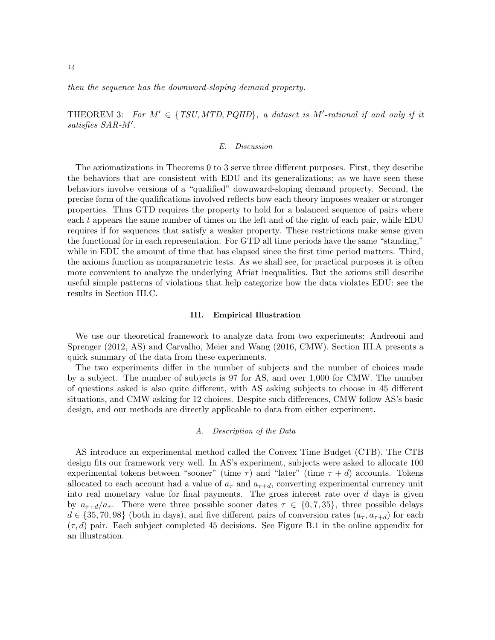then the sequence has the downward-sloping demand property.

THEOREM 3: For  $M' \in \{TSU, MTD, PQHD\}$ , a dataset is M'-rational if and only if it satisfies SAR-M'.

#### E. Discussion

The axiomatizations in Theorems 0 to 3 serve three different purposes. First, they describe the behaviors that are consistent with EDU and its generalizations; as we have seen these behaviors involve versions of a "qualified" downward-sloping demand property. Second, the precise form of the qualifications involved reflects how each theory imposes weaker or stronger properties. Thus GTD requires the property to hold for a balanced sequence of pairs where each t appears the same number of times on the left and of the right of each pair, while EDU requires if for sequences that satisfy a weaker property. These restrictions make sense given the functional for in each representation. For GTD all time periods have the same "standing," while in EDU the amount of time that has elapsed since the first time period matters. Third, the axioms function as nonparametric tests. As we shall see, for practical purposes it is often more convenient to analyze the underlying Afriat inequalities. But the axioms still describe useful simple patterns of violations that help categorize how the data violates EDU: see the results in Section III.C.

# III. Empirical Illustration

We use our theoretical framework to analyze data from two experiments: Andreoni and Sprenger (2012, AS) and Carvalho, Meier and Wang (2016, CMW). Section III.A presents a quick summary of the data from these experiments.

The two experiments differ in the number of subjects and the number of choices made by a subject. The number of subjects is 97 for AS, and over 1,000 for CMW. The number of questions asked is also quite different, with AS asking subjects to choose in 45 different situations, and CMW asking for 12 choices. Despite such differences, CMW follow AS's basic design, and our methods are directly applicable to data from either experiment.

# A. Description of the Data

AS introduce an experimental method called the Convex Time Budget (CTB). The CTB design fits our framework very well. In AS's experiment, subjects were asked to allocate 100 experimental tokens between "sooner" (time  $\tau$ ) and "later" (time  $\tau + d$ ) accounts. Tokens allocated to each account had a value of  $a<sub>\tau</sub>$  and  $a<sub>\tau+d</sub>$ , converting experimental currency unit into real monetary value for final payments. The gross interest rate over  $d$  days is given by  $a_{\tau+d}/a_{\tau}$ . There were three possible sooner dates  $\tau \in \{0, 7, 35\}$ , three possible delays  $d \in \{35, 70, 98\}$  (both in days), and five different pairs of conversion rates  $(a_{\tau}, a_{\tau+d})$  for each  $(\tau, d)$  pair. Each subject completed 45 decisions. See Figure B.1 in the online appendix for an illustration.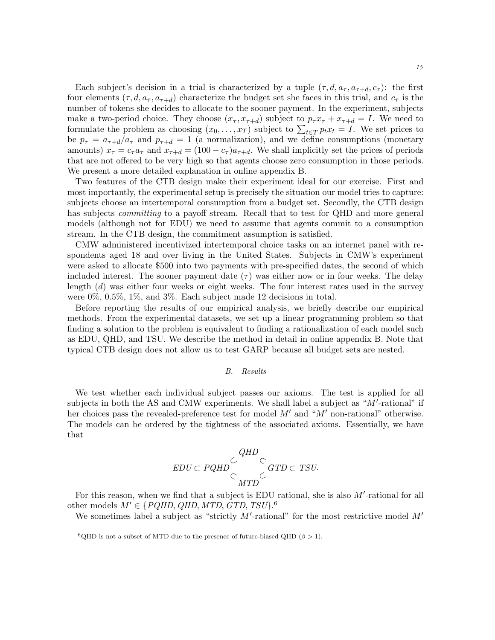Each subject's decision in a trial is characterized by a tuple  $(\tau, d, a_{\tau}, a_{\tau+d}, c_{\tau})$ : the first four elements  $(\tau, d, a_{\tau}, a_{\tau+d})$  characterize the budget set she faces in this trial, and  $c_{\tau}$  is the number of tokens she decides to allocate to the sooner payment. In the experiment, subjects make a two-period choice. They choose  $(x_{\tau}, x_{\tau+d})$  subject to  $p_{\tau} x_{\tau} + x_{\tau+d} = I$ . We need to formulate the problem as choosing  $(x_0, \ldots, x_T)$  subject to  $\sum_{t \in T} p_t x_t = I$ . We set prices to be  $p_{\tau} = a_{\tau+d}/a_{\tau}$  and  $p_{\tau+d} = 1$  (a normalization), and we define consumptions (monetary amounts)  $x_{\tau} = c_{\tau} a_{\tau}$  and  $x_{\tau+d} = (100 - c_{\tau}) a_{\tau+d}$ . We shall implicitly set the prices of periods that are not offered to be very high so that agents choose zero consumption in those periods. We present a more detailed explanation in online appendix B.

Two features of the CTB design make their experiment ideal for our exercise. First and most importantly, the experimental setup is precisely the situation our model tries to capture: subjects choose an intertemporal consumption from a budget set. Secondly, the CTB design has subjects *committing* to a payoff stream. Recall that to test for QHD and more general models (although not for EDU) we need to assume that agents commit to a consumption stream. In the CTB design, the commitment assumption is satisfied.

CMW administered incentivized intertemporal choice tasks on an internet panel with respondents aged 18 and over living in the United States. Subjects in CMW's experiment were asked to allocate \$500 into two payments with pre-specified dates, the second of which included interest. The sooner payment date  $(\tau)$  was either now or in four weeks. The delay length (d) was either four weeks or eight weeks. The four interest rates used in the survey were 0%, 0.5%, 1%, and 3%. Each subject made 12 decisions in total.

Before reporting the results of our empirical analysis, we briefly describe our empirical methods. From the experimental datasets, we set up a linear programming problem so that finding a solution to the problem is equivalent to finding a rationalization of each model such as EDU, QHD, and TSU. We describe the method in detail in online appendix B. Note that typical CTB design does not allow us to test GARP because all budget sets are nested.

#### B. Results

We test whether each individual subject passes our axioms. The test is applied for all subjects in both the AS and CMW experiments. We shall label a subject as " $M'$ -rational" if her choices pass the revealed-preference test for model  $M'$  and " $M'$  non-rational" otherwise. The models can be ordered by the tightness of the associated axioms. Essentially, we have that



For this reason, when we find that a subject is EDU rational, she is also  $M'$ -rational for all other models  $M' \in \{PQHD, QHD, MTD, GTD, TSU\}$ .<sup>6</sup>

We sometimes label a subject as "strictly  $M'$ -rational" for the most restrictive model  $M'$ 

<sup>&</sup>lt;sup>6</sup>QHD is not a subset of MTD due to the presence of future-biased QHD ( $\beta > 1$ ).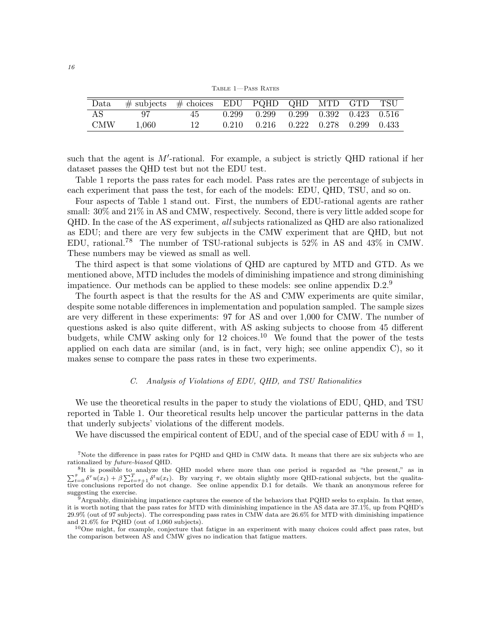TABLE 1-PASS RATES

| Data       | $\#$ subjects $\#$ choices EDU PQHD QHD MTD GTD TSU |    |                                                 |  |  |
|------------|-----------------------------------------------------|----|-------------------------------------------------|--|--|
| AS         | 97.                                                 | 45 | $0.299$ $0.299$ $0.299$ $0.392$ $0.423$ $0.516$ |  |  |
| <b>CMW</b> | 1,060                                               | 12 | $0.210$ $0.216$ $0.222$ $0.278$ $0.299$ $0.433$ |  |  |

such that the agent is  $M'$ -rational. For example, a subject is strictly QHD rational if her dataset passes the QHD test but not the EDU test.

Table 1 reports the pass rates for each model. Pass rates are the percentage of subjects in each experiment that pass the test, for each of the models: EDU, QHD, TSU, and so on.

Four aspects of Table 1 stand out. First, the numbers of EDU-rational agents are rather small:  $30\%$  and  $21\%$  in AS and CMW, respectively. Second, there is very little added scope for QHD. In the case of the AS experiment, all subjects rationalized as QHD are also rationalized as EDU; and there are very few subjects in the CMW experiment that are QHD, but not EDU, rational.<sup>78</sup> The number of TSU-rational subjects is 52% in AS and 43% in CMW. These numbers may be viewed as small as well.

The third aspect is that some violations of QHD are captured by MTD and GTD. As we mentioned above, MTD includes the models of diminishing impatience and strong diminishing impatience. Our methods can be applied to these models: see online appendix  $D.2<sup>9</sup>$ 

The fourth aspect is that the results for the AS and CMW experiments are quite similar, despite some notable differences in implementation and population sampled. The sample sizes are very different in these experiments: 97 for AS and over 1,000 for CMW. The number of questions asked is also quite different, with AS asking subjects to choose from 45 different budgets, while CMW asking only for  $12$  choices.<sup>10</sup> We found that the power of the tests applied on each data are similar (and, is in fact, very high; see online appendix C), so it makes sense to compare the pass rates in these two experiments.

# C. Analysis of Violations of EDU, QHD, and TSU Rationalities

We use the theoretical results in the paper to study the violations of EDU, QHD, and TSU reported in Table 1. Our theoretical results help uncover the particular patterns in the data that underly subjects' violations of the different models.

We have discussed the empirical content of EDU, and of the special case of EDU with  $\delta = 1$ ,

 $10$ One might, for example, conjecture that fatigue in an experiment with many choices could affect pass rates, but the comparison between AS and CMW gives no indication that fatigue matters.

<sup>&</sup>lt;sup>7</sup>Note the difference in pass rates for PQHD and QHD in CMW data. It means that there are six subjects who are rationalized by future-biased QHD.

<sup>8</sup> It is possible to analyze the QHD model where more than one period is regarded as "the present," as in  $\sum_{t=0}^{\bar{\tau}} \delta^{\tau} u(x_t) + \beta \sum_{t=\bar{\tau}+1}^{T} \delta^t u(x_t)$ . By varying  $\bar{\tau}$ , we obtain slightly more QHD-rational subjects, but the qualitative conclusions reported do not change. See online appendix D.1 for details. We thank an anonymous referee for suggesting the exercise.

 $\overline{9}$  Arguably, diminishing impatience captures the essence of the behaviors that PQHD seeks to explain. In that sense, it is worth noting that the pass rates for MTD with diminishing impatience in the AS data are 37.1%, up from PQHD's 29.9% (out of 97 subjects). The corresponding pass rates in CMW data are 26.6% for MTD with diminishing impatience and 21.6% for PQHD (out of 1,060 subjects).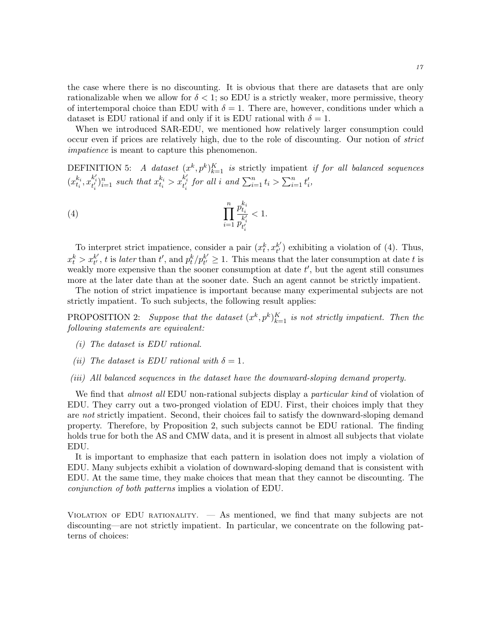the case where there is no discounting. It is obvious that there are datasets that are only rationalizable when we allow for  $\delta < 1$ ; so EDU is a strictly weaker, more permissive, theory of intertemporal choice than EDU with  $\delta = 1$ . There are, however, conditions under which a dataset is EDU rational if and only if it is EDU rational with  $\delta = 1$ .

When we introduced SAR-EDU, we mentioned how relatively larger consumption could occur even if prices are relatively high, due to the role of discounting. Our notion of strict impatience is meant to capture this phenomenon.

DEFINITION 5: A dataset  $(x^k, p^k)_{k=1}^K$  is strictly impatient if for all balanced sequences  $(x_{t_i}^{k_i}, x_{t_i'}^{k_i'})_{i=1}^n$  such that  $x_{t_i}^{k_i} > x_{t_i'}^{k_i'}$  for all i and  $\sum_{i=1}^n t_i > \sum_{i=1}^n t_i'$ ,

(4) 
$$
\prod_{i=1}^{n} \frac{p_{t_i}^{k_i}}{p_{t_i'}} < 1.
$$

To interpret strict impatience, consider a pair  $(x_t^k, x_{t^\prime}^{k^\prime})$  $t'_{t'}$ ) exhibiting a violation of (4). Thus,  $x_t^k > x_{t'}^{k'}$  $_{t'}^{k'}$ , t is *later* than  $t'$ , and  $p_t^k/p_{t'}^{k'}$  $t'_{t'} \geq 1$ . This means that the later consumption at date t is weakly more expensive than the sooner consumption at date  $t'$ , but the agent still consumes more at the later date than at the sooner date. Such an agent cannot be strictly impatient.

The notion of strict impatience is important because many experimental subjects are not strictly impatient. To such subjects, the following result applies:

PROPOSITION 2: Suppose that the dataset  $(x^k, p^k)_{k=1}^K$  is not strictly impatient. Then the following statements are equivalent:

- (i) The dataset is EDU rational.
- (ii) The dataset is EDU rational with  $\delta = 1$ .
- (iii) All balanced sequences in the dataset have the downward-sloping demand property.

We find that *almost all* EDU non-rational subjects display a *particular kind* of violation of EDU. They carry out a two-pronged violation of EDU. First, their choices imply that they are not strictly impatient. Second, their choices fail to satisfy the downward-sloping demand property. Therefore, by Proposition 2, such subjects cannot be EDU rational. The finding holds true for both the AS and CMW data, and it is present in almost all subjects that violate EDU.

It is important to emphasize that each pattern in isolation does not imply a violation of EDU. Many subjects exhibit a violation of downward-sloping demand that is consistent with EDU. At the same time, they make choices that mean that they cannot be discounting. The conjunction of both patterns implies a violation of EDU.

VIOLATION OF EDU RATIONALITY.  $-$  As mentioned, we find that many subjects are not discounting—are not strictly impatient. In particular, we concentrate on the following patterns of choices: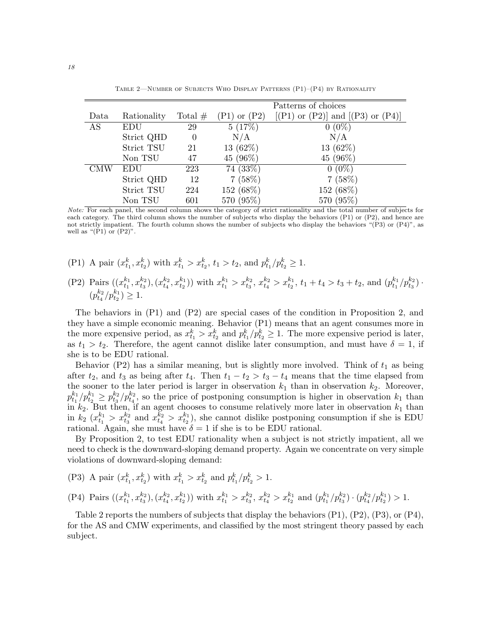|      |             |           | Patterns of choices |                                                         |  |
|------|-------------|-----------|---------------------|---------------------------------------------------------|--|
| Data | Rationality | Total $#$ | $(P1)$ or $(P2)$    | $[(P1) \text{ or } (P2)]$ and $[(P3) \text{ or } (P4)]$ |  |
| AS   | EDU         | 29        | 5(17%)              | $0(0\%)$                                                |  |
|      | Strict QHD  | $\theta$  | N/A                 | N/A                                                     |  |
|      | Strict TSU  | 21        | $13(62\%)$          | $13(62\%)$                                              |  |
|      | Non TSU     | 47        | 45 (96%)            | 45 (96%)                                                |  |
| CMW  | <b>EDU</b>  | 223       | 74 (33%)            | $0(0\%)$                                                |  |
|      | Strict QHD  | 12        | 7(58%)              | 7(58%)                                                  |  |
|      | Strict TSU  | 224       | 152 (68%)           | 152 (68%)                                               |  |
|      | Non TSU     | 601       | 570 (95%)           | 570 (95%)                                               |  |

Table 2—Number of Subjects Who Display Patterns (P1)–(P4) by Rationality

Note: For each panel, the second column shows the category of strict rationality and the total number of subjects for each category. The third column shows the number of subjects who display the behaviors (P1) or (P2), and hence are not strictly impatient. The fourth column shows the number of subjects who display the behaviors "(P3) or (P4)", as well as " $(P1)$  or  $(P2)$ ".

- (P1) A pair  $(x_{t_1}^k, x_{t_2}^k)$  with  $x_{t_1}^k > x_{t_2}^k$ ,  $t_1 > t_2$ , and  $p_{t_1}^k/p_{t_2}^k \ge 1$ .
- (P2) Pairs  $((x_{t_1}^{k_1}, x_{t_3}^{k_2}), (x_{t_4}^{k_2}, x_{t_2}^{k_1}))$  with  $x_{t_1}^{k_1} > x_{t_3}^{k_2}$ ,  $x_{t_4}^{k_2} > x_{t_2}^{k_1}$ ,  $t_1 + t_4 > t_3 + t_2$ , and  $(p_{t_1}^{k_1}/p_{t_3}^{k_2})$ .  $(p_{t_4}^{k_2}/p_{t_2}^{k_1}) \geq 1.$

The behaviors in (P1) and (P2) are special cases of the condition in Proposition 2, and they have a simple economic meaning. Behavior (P1) means that an agent consumes more in the more expensive period, as  $x_{t_1}^k > x_{t_2}^k$  and  $p_{t_1}^k/p_{t_2}^k \ge 1$ . The more expensive period is later, as  $t_1 > t_2$ . Therefore, the agent cannot dislike later consumption, and must have  $\delta = 1$ , if she is to be EDU rational.

Behavior (P2) has a similar meaning, but is slightly more involved. Think of  $t_1$  as being after  $t_2$ , and  $t_3$  as being after  $t_4$ . Then  $t_1 - t_2 > t_3 - t_4$  means that the time elapsed from the sooner to the later period is larger in observation  $k_1$  than in observation  $k_2$ . Moreover,  $p_{t_1}^{k_1}/p_{t_2}^{k_2} \geq p_{t_3}^{k_2}/p_{t_4}^{k_2}$ , so the price of postponing consumption is higher in observation  $k_1$  than in  $k_2$ . But then, if an agent chooses to consume relatively more later in observation  $k_1$  than in  $k_2$   $(x_{t_1}^{k_1} > x_{t_3}^{k_2}$  and  $x_{t_4}^{k_2} > x_{t_2}^{k_1}$ , she cannot dislike postponing consumption if she is EDU rational. Again, she must have  $\delta = 1$  if she is to be EDU rational.

By Proposition 2, to test EDU rationality when a subject is not strictly impatient, all we need to check is the downward-sloping demand property. Again we concentrate on very simple violations of downward-sloping demand:

- (P3) A pair  $(x_{t_1}^k, x_{t_2}^k)$  with  $x_{t_1}^k > x_{t_2}^k$  and  $p_{t_1}^k/p_{t_2}^k > 1$ .
- (P4) Pairs  $((x_{t_1}^{k_1}, x_{t_3}^{k_2}), (x_{t_4}^{k_2}, x_{t_2}^{k_1}))$  with  $x_{t_1}^{k_1} > x_{t_3}^{k_2}, x_{t_4}^{k_2} > x_{t_2}^{k_1}$  and  $(p_{t_1}^{k_1}/p_{t_3}^{k_2}) \cdot (p_{t_4}^{k_2}/p_{t_2}^{k_1}) > 1$ .

Table 2 reports the numbers of subjects that display the behaviors (P1), (P2), (P3), or (P4), for the AS and CMW experiments, and classified by the most stringent theory passed by each subject.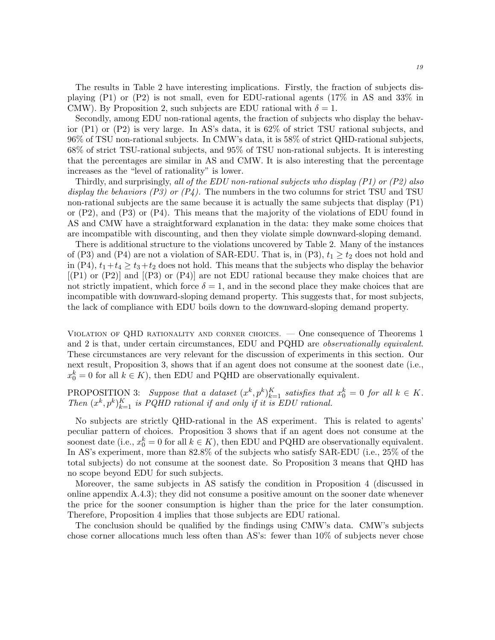The results in Table 2 have interesting implications. Firstly, the fraction of subjects displaying (P1) or (P2) is not small, even for EDU-rational agents (17% in AS and 33% in CMW). By Proposition 2, such subjects are EDU rational with  $\delta = 1$ .

Secondly, among EDU non-rational agents, the fraction of subjects who display the behavior (P1) or (P2) is very large. In AS's data, it is 62% of strict TSU rational subjects, and 96% of TSU non-rational subjects. In CMW's data, it is 58% of strict QHD-rational subjects, 68% of strict TSU-rational subjects, and 95% of TSU non-rational subjects. It is interesting that the percentages are similar in AS and CMW. It is also interesting that the percentage increases as the "level of rationality" is lower.

Thirdly, and surprisingly, all of the EDU non-rational subjects who display  $(P1)$  or  $(P2)$  also display the behaviors (P3) or  $(P_4)$ . The numbers in the two columns for strict TSU and TSU non-rational subjects are the same because it is actually the same subjects that display (P1) or (P2), and (P3) or (P4). This means that the majority of the violations of EDU found in AS and CMW have a straightforward explanation in the data: they make some choices that are incompatible with discounting, and then they violate simple downward-sloping demand.

There is additional structure to the violations uncovered by Table 2. Many of the instances of (P3) and (P4) are not a violation of SAR-EDU. That is, in (P3),  $t_1 \ge t_2$  does not hold and in (P4),  $t_1+t_4 \geq t_3+t_2$  does not hold. This means that the subjects who display the behavior  $[(P1)$  or  $(P2)]$  and  $[(P3)$  or  $(P4)]$  are not EDU rational because they make choices that are not strictly impatient, which force  $\delta = 1$ , and in the second place they make choices that are incompatible with downward-sloping demand property. This suggests that, for most subjects, the lack of compliance with EDU boils down to the downward-sloping demand property.

Violation of QHD rationality and corner choices. — One consequence of Theorems 1 and 2 is that, under certain circumstances, EDU and PQHD are observationally equivalent. These circumstances are very relevant for the discussion of experiments in this section. Our next result, Proposition 3, shows that if an agent does not consume at the soonest date (i.e.,  $x_0^k = 0$  for all  $k \in K$ ), then EDU and PQHD are observationally equivalent.

PROPOSITION 3: Suppose that a dataset  $(x^k, p^k)_{k=1}^K$  satisfies that  $x_0^k = 0$  for all  $k \in K$ . Then  $(x^k, p^k)_{k=1}^K$  is PQHD rational if and only if it is EDU rational.

No subjects are strictly QHD-rational in the AS experiment. This is related to agents' peculiar pattern of choices. Proposition 3 shows that if an agent does not consume at the soonest date (i.e.,  $x_0^k = 0$  for all  $k \in K$ ), then EDU and PQHD are observationally equivalent. In AS's experiment, more than 82.8% of the subjects who satisfy SAR-EDU (i.e., 25% of the total subjects) do not consume at the soonest date. So Proposition 3 means that QHD has no scope beyond EDU for such subjects.

Moreover, the same subjects in AS satisfy the condition in Proposition 4 (discussed in online appendix A.4.3); they did not consume a positive amount on the sooner date whenever the price for the sooner consumption is higher than the price for the later consumption. Therefore, Proposition 4 implies that those subjects are EDU rational.

The conclusion should be qualified by the findings using CMW's data. CMW's subjects chose corner allocations much less often than AS's: fewer than 10% of subjects never chose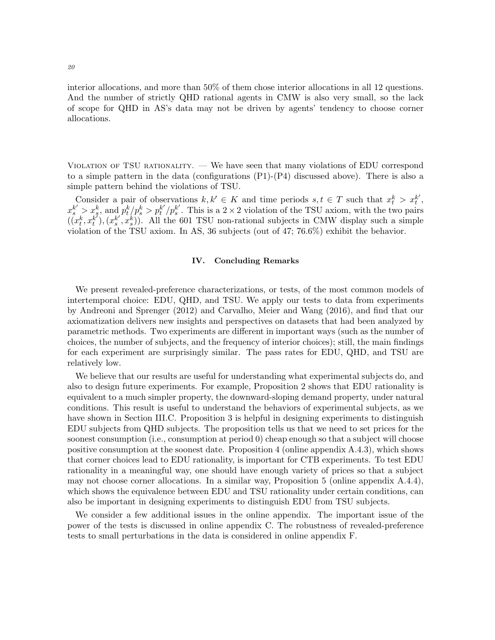interior allocations, and more than 50% of them chose interior allocations in all 12 questions. And the number of strictly QHD rational agents in CMW is also very small, so the lack of scope for QHD in AS's data may not be driven by agents' tendency to choose corner allocations.

VIOLATION OF TSU RATIONALITY. — We have seen that many violations of EDU correspond to a simple pattern in the data (configurations (P1)-(P4) discussed above). There is also a simple pattern behind the violations of TSU.

Consider a pair of observations  $k, k' \in K$  and time periods  $s, t \in T$  such that  $x_t^k > x_t^{k'}$ ,  $x_s^{k'} > x_s^k$ , and  $p_t^k/p_s^k > p_t^{k'}/p_s^{k'}$ . This is a  $2 \times 2$  violation of the TSU axiom, with the two pairs  $((x_t^k, x_t^{k'}), (x_s^{k'}, x_s^{k'}))$ . All the 601 TSU non-rational subjects in CMW display such a simple violation of the TSU axiom. In AS, 36 subjects (out of 47; 76.6%) exhibit the behavior.

# IV. Concluding Remarks

We present revealed-preference characterizations, or tests, of the most common models of intertemporal choice: EDU, QHD, and TSU. We apply our tests to data from experiments by Andreoni and Sprenger (2012) and Carvalho, Meier and Wang (2016), and find that our axiomatization delivers new insights and perspectives on datasets that had been analyzed by parametric methods. Two experiments are different in important ways (such as the number of choices, the number of subjects, and the frequency of interior choices); still, the main findings for each experiment are surprisingly similar. The pass rates for EDU, QHD, and TSU are relatively low.

We believe that our results are useful for understanding what experimental subjects do, and also to design future experiments. For example, Proposition 2 shows that EDU rationality is equivalent to a much simpler property, the downward-sloping demand property, under natural conditions. This result is useful to understand the behaviors of experimental subjects, as we have shown in Section III.C. Proposition 3 is helpful in designing experiments to distinguish EDU subjects from QHD subjects. The proposition tells us that we need to set prices for the soonest consumption (i.e., consumption at period 0) cheap enough so that a subject will choose positive consumption at the soonest date. Proposition 4 (online appendix A.4.3), which shows that corner choices lead to EDU rationality, is important for CTB experiments. To test EDU rationality in a meaningful way, one should have enough variety of prices so that a subject may not choose corner allocations. In a similar way, Proposition 5 (online appendix A.4.4), which shows the equivalence between EDU and TSU rationality under certain conditions, can also be important in designing experiments to distinguish EDU from TSU subjects.

We consider a few additional issues in the online appendix. The important issue of the power of the tests is discussed in online appendix C. The robustness of revealed-preference tests to small perturbations in the data is considered in online appendix F.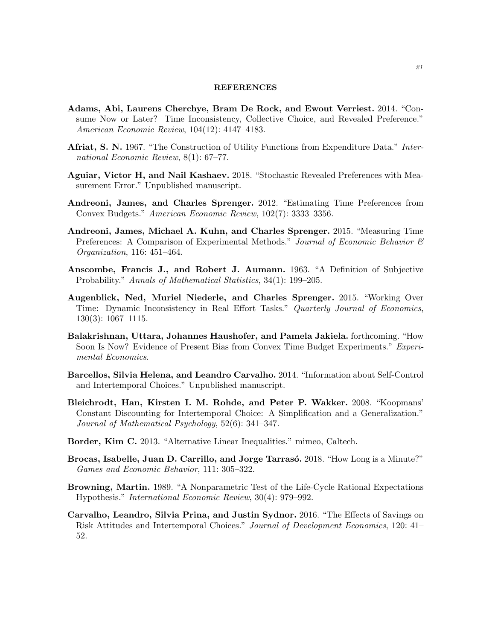## REFERENCES

- Adams, Abi, Laurens Cherchye, Bram De Rock, and Ewout Verriest. 2014. "Consume Now or Later? Time Inconsistency, Collective Choice, and Revealed Preference." American Economic Review, 104(12): 4147–4183.
- Afriat, S. N. 1967. "The Construction of Utility Functions from Expenditure Data." International Economic Review, 8(1): 67–77.
- Aguiar, Victor H, and Nail Kashaev. 2018. "Stochastic Revealed Preferences with Measurement Error." Unpublished manuscript.
- Andreoni, James, and Charles Sprenger. 2012. "Estimating Time Preferences from Convex Budgets." American Economic Review, 102(7): 3333–3356.
- Andreoni, James, Michael A. Kuhn, and Charles Sprenger. 2015. "Measuring Time Preferences: A Comparison of Experimental Methods." Journal of Economic Behavior & Organization, 116: 451–464.
- Anscombe, Francis J., and Robert J. Aumann. 1963. "A Definition of Subjective Probability." Annals of Mathematical Statistics, 34(1): 199–205.
- Augenblick, Ned, Muriel Niederle, and Charles Sprenger. 2015. "Working Over Time: Dynamic Inconsistency in Real Effort Tasks." Quarterly Journal of Economics, 130(3): 1067–1115.
- Balakrishnan, Uttara, Johannes Haushofer, and Pamela Jakiela. forthcoming. "How Soon Is Now? Evidence of Present Bias from Convex Time Budget Experiments." Experimental Economics.
- Barcellos, Silvia Helena, and Leandro Carvalho. 2014. "Information about Self-Control and Intertemporal Choices." Unpublished manuscript.
- Bleichrodt, Han, Kirsten I. M. Rohde, and Peter P. Wakker. 2008. "Koopmans' Constant Discounting for Intertemporal Choice: A Simplification and a Generalization." Journal of Mathematical Psychology, 52(6): 341–347.
- Border, Kim C. 2013. "Alternative Linear Inequalities." mimeo, Caltech.
- Brocas, Isabelle, Juan D. Carrillo, and Jorge Tarrasó. 2018. "How Long is a Minute?" Games and Economic Behavior, 111: 305–322.
- Browning, Martin. 1989. "A Nonparametric Test of the Life-Cycle Rational Expectations Hypothesis." International Economic Review, 30(4): 979–992.
- Carvalho, Leandro, Silvia Prina, and Justin Sydnor. 2016. "The Effects of Savings on Risk Attitudes and Intertemporal Choices." Journal of Development Economics, 120: 41– 52.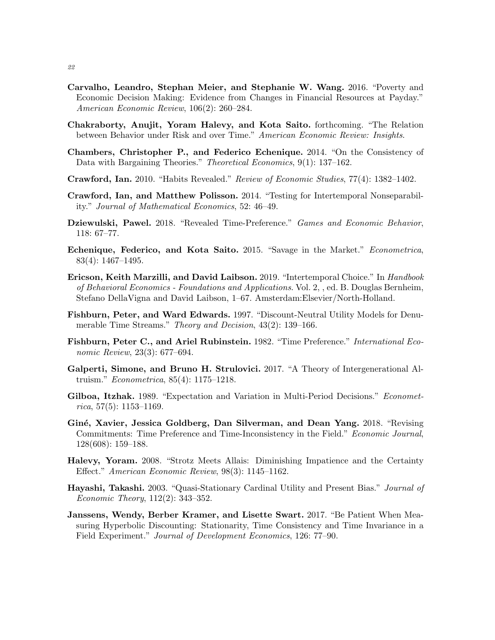- Carvalho, Leandro, Stephan Meier, and Stephanie W. Wang. 2016. "Poverty and Economic Decision Making: Evidence from Changes in Financial Resources at Payday." American Economic Review, 106(2): 260–284.
- Chakraborty, Anujit, Yoram Halevy, and Kota Saito. forthcoming. "The Relation between Behavior under Risk and over Time." American Economic Review: Insights.
- Chambers, Christopher P., and Federico Echenique. 2014. "On the Consistency of Data with Bargaining Theories." *Theoretical Economics*, 9(1): 137–162.
- Crawford, Ian. 2010. "Habits Revealed." Review of Economic Studies, 77(4): 1382–1402.
- Crawford, Ian, and Matthew Polisson. 2014. "Testing for Intertemporal Nonseparability." Journal of Mathematical Economics, 52: 46–49.
- Dziewulski, Pawel. 2018. "Revealed Time-Preference." Games and Economic Behavior, 118: 67–77.
- Echenique, Federico, and Kota Saito. 2015. "Savage in the Market." Econometrica, 83(4): 1467–1495.
- Ericson, Keith Marzilli, and David Laibson. 2019. "Intertemporal Choice." In *Handbook* of Behavioral Economics - Foundations and Applications. Vol. 2, , ed. B. Douglas Bernheim, Stefano DellaVigna and David Laibson, 1–67. Amsterdam:Elsevier/North-Holland.
- Fishburn, Peter, and Ward Edwards. 1997. "Discount-Neutral Utility Models for Denumerable Time Streams." Theory and Decision, 43(2): 139–166.
- Fishburn, Peter C., and Ariel Rubinstein. 1982. "Time Preference." International Economic Review, 23(3): 677–694.
- Galperti, Simone, and Bruno H. Strulovici. 2017. "A Theory of Intergenerational Altruism." Econometrica, 85(4): 1175–1218.
- Gilboa, Itzhak. 1989. "Expectation and Variation in Multi-Period Decisions." Econometrica, 57(5):  $1153-1169$ .
- Giné, Xavier, Jessica Goldberg, Dan Silverman, and Dean Yang. 2018. "Revising Commitments: Time Preference and Time-Inconsistency in the Field." Economic Journal, 128(608): 159–188.
- Halevy, Yoram. 2008. "Strotz Meets Allais: Diminishing Impatience and the Certainty Effect." American Economic Review, 98(3): 1145–1162.
- Hayashi, Takashi. 2003. "Quasi-Stationary Cardinal Utility and Present Bias." Journal of Economic Theory, 112(2): 343–352.
- Janssens, Wendy, Berber Kramer, and Lisette Swart. 2017. "Be Patient When Measuring Hyperbolic Discounting: Stationarity, Time Consistency and Time Invariance in a Field Experiment." Journal of Development Economics, 126: 77–90.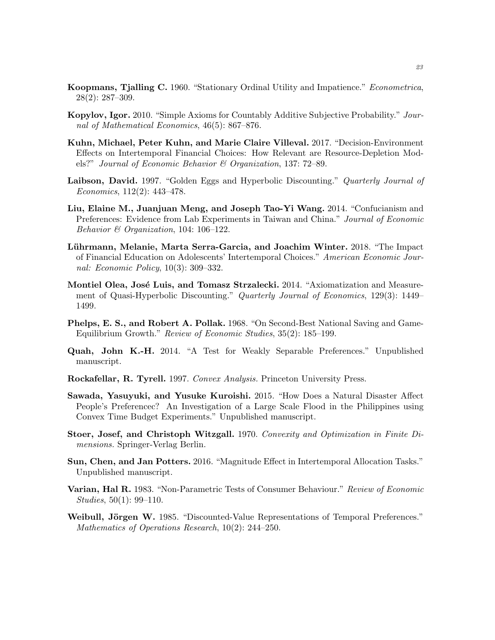- Koopmans, Tjalling C. 1960. "Stationary Ordinal Utility and Impatience." Econometrica, 28(2): 287–309.
- Kopylov, Igor. 2010. "Simple Axioms for Countably Additive Subjective Probability." Journal of Mathematical Economics, 46(5): 867–876.
- Kuhn, Michael, Peter Kuhn, and Marie Claire Villeval. 2017. "Decision-Environment Effects on Intertemporal Financial Choices: How Relevant are Resource-Depletion Models?" Journal of Economic Behavior & Organization, 137: 72–89.
- Laibson, David. 1997. "Golden Eggs and Hyperbolic Discounting." Quarterly Journal of Economics, 112(2): 443–478.
- Liu, Elaine M., Juanjuan Meng, and Joseph Tao-Yi Wang. 2014. "Confucianism and Preferences: Evidence from Lab Experiments in Taiwan and China." Journal of Economic Behavior & Organization, 104: 106–122.
- Lührmann, Melanie, Marta Serra-Garcia, and Joachim Winter. 2018. "The Impact of Financial Education on Adolescents' Intertemporal Choices." American Economic Journal: Economic Policy, 10(3): 309–332.
- Montiel Olea, José Luis, and Tomasz Strzalecki. 2014. "Axiomatization and Measurement of Quasi-Hyperbolic Discounting." Quarterly Journal of Economics, 129(3): 1449– 1499.
- Phelps, E. S., and Robert A. Pollak. 1968. "On Second-Best National Saving and Game-Equilibrium Growth." Review of Economic Studies, 35(2): 185–199.
- Quah, John K.-H. 2014. "A Test for Weakly Separable Preferences." Unpublished manuscript.
- Rockafellar, R. Tyrell. 1997. Convex Analysis. Princeton University Press.
- Sawada, Yasuyuki, and Yusuke Kuroishi. 2015. "How Does a Natural Disaster Affect People's Preferencec? An Investigation of a Large Scale Flood in the Philippines using Convex Time Budget Experiments." Unpublished manuscript.
- Stoer, Josef, and Christoph Witzgall. 1970. Convexity and Optimization in Finite Dimensions. Springer-Verlag Berlin.
- Sun, Chen, and Jan Potters. 2016. "Magnitude Effect in Intertemporal Allocation Tasks." Unpublished manuscript.
- Varian, Hal R. 1983. "Non-Parametric Tests of Consumer Behaviour." Review of Economic Studies,  $50(1)$ : 99-110.
- Weibull, Jörgen W. 1985. "Discounted-Value Representations of Temporal Preferences." Mathematics of Operations Research, 10(2): 244–250.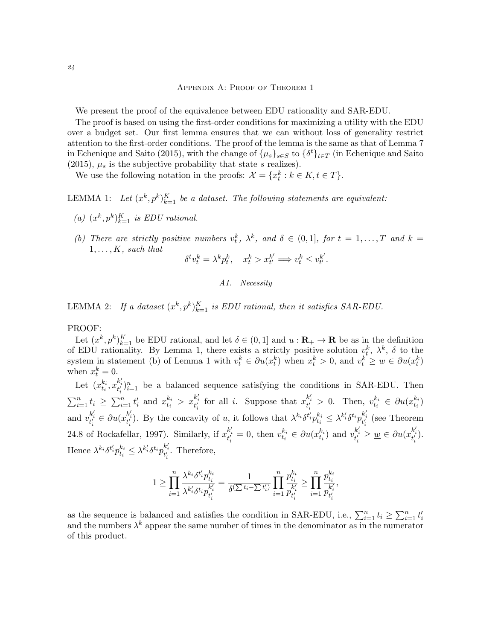## Appendix A: Proof of Theorem 1

We present the proof of the equivalence between EDU rationality and SAR-EDU.

The proof is based on using the first-order conditions for maximizing a utility with the EDU over a budget set. Our first lemma ensures that we can without loss of generality restrict attention to the first-order conditions. The proof of the lemma is the same as that of Lemma 7 in Echenique and Saito (2015), with the change of  $\{\mu_s\}_{s\in S}$  to  $\{\delta^t\}_{t\in T}$  (in Echenique and Saito  $(2015)$ ,  $\mu_s$  is the subjective probability that state s realizes).

We use the following notation in the proofs:  $\mathcal{X} = \{x_t^k : k \in K, t \in T\}.$ 

LEMMA 1: Let  $(x^k, p^k)_{k=1}^K$  be a dataset. The following statements are equivalent:

- (a)  $(x^k, p^k)_{k=1}^K$  is EDU rational.
- (b) There are strictly positive numbers  $v_t^k$ ,  $\lambda^k$ , and  $\delta \in (0,1]$ , for  $t = 1,\ldots,T$  and  $k =$  $1, \ldots, K$ , such that

$$
\delta^tv^k_t = \lambda^k p^k_t, \quad x^k_t > x^{k'}_{t'} \Longrightarrow v^k_t \leq v^{k'}_{t'}.
$$

A1. Necessity

LEMMA 2: If a dataset  $(x^k, p^k)_{k=1}^K$  is EDU rational, then it satisfies SAR-EDU.

# PROOF:

Let  $(x^k, p^k)_{k=1}^K$  be EDU rational, and let  $\delta \in (0,1]$  and  $u : \mathbf{R}_+ \to \mathbf{R}$  be as in the definition of EDU rationality. By Lemma 1, there exists a strictly positive solution  $v_t^k$ ,  $\lambda^k$ ,  $\delta$  to the system in statement (b) of Lemma 1 with  $v_t^k \in \partial u(x_t^k)$  when  $x_t^k > 0$ , and  $v_t^k \geq \underline{w} \in \partial u(x_t^k)$ when  $x_t^k = 0$ .

Let  $(x_{t_i}^{k_i}, x_{t_i'}^{k_i'})_{i=1}^n$  be a balanced sequence satisfying the conditions in SAR-EDU. Then  $\sum_{i=1}^n t_i \geq \sum_{i=1}^n t'_i$  and  $x_{t_i}^{k_i} > x_{t'_i}^{k'_i}$  for all i. Suppose that  $x_{t'_i}^{k'_i} > 0$ . Then,  $v_{t_i}^{k_i} \in \partial u(x_{t_i}^{k_i})$ and  $v_{t_i'}^{k_i'} \in \partial u(x_{t_i'}^{k_i'})$ . By the concavity of u, it follows that  $\lambda^{k_i} \delta^{t_i'} p_{t_i}^{k_i} \leq \lambda^{k_i'} \delta^{t_i} p_{t_i'}^{k_i'}$  (see Theorem 24.8 of Rockafellar, 1997). Similarly, if  $x_{t_i'}^{k_i'} = 0$ , then  $v_{t_i}^{k_i} \in \partial u(x_{t_i}^{k_i})$  and  $v_{t_i'}^{k_i'} \geq \underline{w} \in \partial u(x_{t_i'}^{k_i'})$ . Hence  $\lambda^{k_i} \delta^{t'_i} p_{t_i}^{k_i} \leq \lambda^{k'_i} \delta^{t_i} p_{t'_i}^{k'_i}$ . Therefore,

$$
1 \geq \prod_{i=1}^n \frac{\lambda^{k_i} \delta^{t'_i} p^{k_i}_{t_i}}{\lambda^{k'_i} \delta^{t_i} p^{k'_i}_{t'_i}} = \frac{1}{\delta^{(\sum t_i - \sum t'_i)}} \prod_{i=1}^n \frac{p^{k_i}_{t_i}}{p^{k'_i}_{t'_i}} \geq \prod_{i=1}^n \frac{p^{k_i}_{t_i}}{p^{k'_i}_{t'_i}}
$$

as the sequence is balanced and satisfies the condition in SAR-EDU, i.e.,  $\sum_{i=1}^{n} t_i \geq \sum_{i=1}^{n} t'_i$ and the numbers  $\lambda^k$  appear the same number of times in the denominator as in the numerator of this product.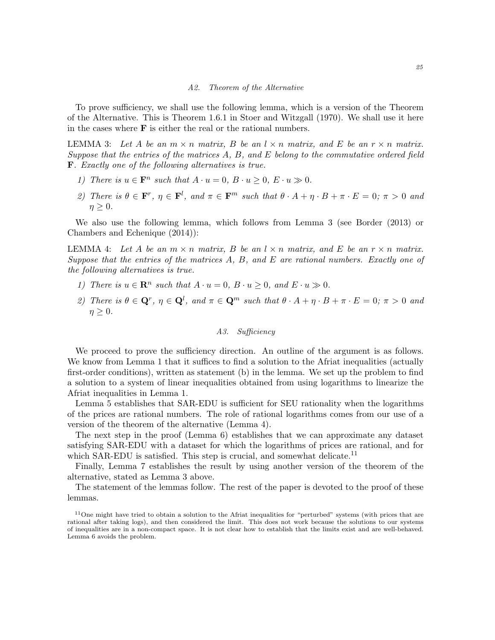# A2. Theorem of the Alternative

To prove sufficiency, we shall use the following lemma, which is a version of the Theorem of the Alternative. This is Theorem 1.6.1 in Stoer and Witzgall (1970). We shall use it here in the cases where  $\bf{F}$  is either the real or the rational numbers.

LEMMA 3: Let A be an  $m \times n$  matrix, B be an  $l \times n$  matrix, and E be an  $r \times n$  matrix. Suppose that the entries of the matrices A, B, and E belong to the commutative ordered field F. Exactly one of the following alternatives is true.

- 1) There is  $u \in \mathbf{F}^n$  such that  $A \cdot u = 0$ ,  $B \cdot u \ge 0$ ,  $E \cdot u \gg 0$ .
- 2) There is  $\theta \in \mathbf{F}^r$ ,  $\eta \in \mathbf{F}^l$ , and  $\pi \in \mathbf{F}^m$  such that  $\theta \cdot A + \eta \cdot B + \pi \cdot E = 0$ ;  $\pi > 0$  and  $\eta \geq 0$ .

We also use the following lemma, which follows from Lemma 3 (see Border (2013) or Chambers and Echenique (2014)):

LEMMA 4: Let A be an  $m \times n$  matrix, B be an  $l \times n$  matrix, and E be an  $r \times n$  matrix. Suppose that the entries of the matrices  $A, B,$  and  $E$  are rational numbers. Exactly one of the following alternatives is true.

- 1) There is  $u \in \mathbb{R}^n$  such that  $A \cdot u = 0$ ,  $B \cdot u \ge 0$ , and  $E \cdot u \gg 0$ .
- 2) There is  $\theta \in \mathbf{Q}^r$ ,  $\eta \in \mathbf{Q}^l$ , and  $\pi \in \mathbf{Q}^m$  such that  $\theta \cdot A + \eta \cdot B + \pi \cdot E = 0$ ;  $\pi > 0$  and  $\eta \geq 0$ .

## A3. Sufficiency

We proceed to prove the sufficiency direction. An outline of the argument is as follows. We know from Lemma 1 that it suffices to find a solution to the Afriat inequalities (actually first-order conditions), written as statement (b) in the lemma. We set up the problem to find a solution to a system of linear inequalities obtained from using logarithms to linearize the Afriat inequalities in Lemma 1.

Lemma 5 establishes that SAR-EDU is sufficient for SEU rationality when the logarithms of the prices are rational numbers. The role of rational logarithms comes from our use of a version of the theorem of the alternative (Lemma 4).

The next step in the proof (Lemma 6) establishes that we can approximate any dataset satisfying SAR-EDU with a dataset for which the logarithms of prices are rational, and for which SAR-EDU is satisfied. This step is crucial, and somewhat delicate.<sup>11</sup>

Finally, Lemma 7 establishes the result by using another version of the theorem of the alternative, stated as Lemma 3 above.

The statement of the lemmas follow. The rest of the paper is devoted to the proof of these lemmas.

<sup>11</sup>One might have tried to obtain a solution to the Afriat inequalities for "perturbed" systems (with prices that are rational after taking logs), and then considered the limit. This does not work because the solutions to our systems of inequalities are in a non-compact space. It is not clear how to establish that the limits exist and are well-behaved. Lemma 6 avoids the problem.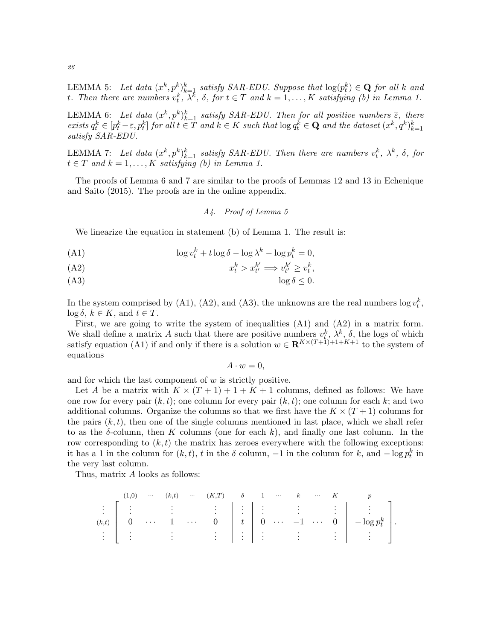LEMMA 5: Let data  $(x^k, p^k)_{k=1}^k$  satisfy SAR-EDU. Suppose that  $log(p_t^k) \in \mathbf{Q}$  for all k and t. Then there are numbers  $v_t^k$ ,  $\lambda^k$ ,  $\delta$ , for  $t \in T$  and  $k = 1, ..., K$  satisfying (b) in Lemma 1.

LEMMA 6: Let data  $(x^k, p^k)_{k=1}^k$  satisfy SAR-EDU. Then for all positive numbers  $\overline{\varepsilon}$ , there exists  $q_t^k \in [p_t^k - \overline{\varepsilon}, p_t^k]$  for all  $t \in \overline{T}$  and  $k \in K$  such that  $\log q_t^k \in \mathbf{Q}$  and the dataset  $(x^k, q^k)_{k=1}^k$ satisfy SAR-EDU.

LEMMA 7: Let data  $(x^k, p^k)_{k=1}^k$  satisfy SAR-EDU. Then there are numbers  $v_t^k$ ,  $\lambda^k$ ,  $\delta$ , for  $t \in T$  and  $k = 1, ..., K$  satisfying (b) in Lemma 1.

The proofs of Lemma 6 and 7 are similar to the proofs of Lemmas 12 and 13 in Echenique and Saito (2015). The proofs are in the online appendix.

A4. Proof of Lemma 5

We linearize the equation in statement (b) of Lemma 1. The result is:

(A1)  $\log v_t^k + t \log \delta - \log \lambda^k - \log p_t^k = 0,$ 

$$
(A2) \t\t x_t^k > x_{t'}^{k'} \Longrightarrow v_{t'}^{k'} \ge v_t^k,
$$

$$
(A3) \t\t \tlog \delta \leq 0.
$$

In the system comprised by (A1), (A2), and (A3), the unknowns are the real numbers  $\log v_t^k$ ,  $\log \delta$ ,  $k \in K$ , and  $t \in T$ .

First, we are going to write the system of inequalities  $(A1)$  and  $(A2)$  in a matrix form. We shall define a matrix A such that there are positive numbers  $v_t^k$ ,  $\lambda^k$ ,  $\delta$ , the logs of which we shall define a matrix A such that there are positive numbers  $v_t$ ,  $\lambda$ ,  $\lambda$ ,  $\lambda$ , the logs of which satisfy equation (A1) if and only if there is a solution  $w \in \mathbb{R}^{K \times (T+1)+1+K+1}$  to the system of equations

$$
A \cdot w = 0,
$$

and for which the last component of  $w$  is strictly positive.

Let A be a matrix with  $K \times (T + 1) + 1 + K + 1$  columns, defined as follows: We have one row for every pair  $(k, t)$ ; one column for every pair  $(k, t)$ ; one column for each k; and two additional columns. Organize the columns so that we first have the  $K \times (T+1)$  columns for the pairs  $(k, t)$ , then one of the single columns mentioned in last place, which we shall refer to as the  $\delta$ -column, then K columns (one for each k), and finally one last column. In the row corresponding to  $(k, t)$  the matrix has zeroes everywhere with the following exceptions: it has a 1 in the column for  $(k, t)$ , t in the  $\delta$  column, -1 in the column for k, and  $-\log p_t^k$  in the very last column.

Thus, matrix A looks as follows:

 (1,0) ··· (k,t) ··· (K,T) δ 1 ··· k ··· K p . . . . . . . . . . . . . . . . . . . . . . . . . . . (k,t) 0 · · · 1 · · · 0 t 0 · · · −1 · · · 0 − log p k t . . . . . . . . . . . . . . . . . . . . . . . . . . . .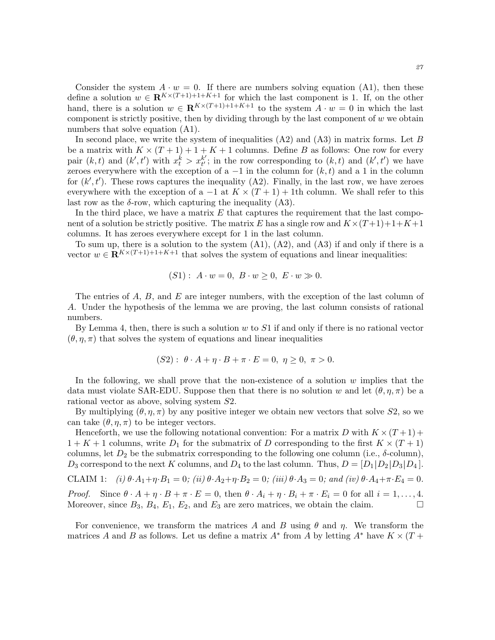Consider the system  $A \cdot w = 0$ . If there are numbers solving equation (A1), then these define a solution  $w \in \mathbf{R}^{K \times (T+1)+1+K+1}$  for which the last component is 1. If, on the other hand, there is a solution  $w \in \mathbf{R}^{K \times (T+1)+1+K+1}$  to the system  $A \cdot w = 0$  in which the last component is strictly positive, then by dividing through by the last component of  $w$  we obtain numbers that solve equation  $(A1)$ .

In second place, we write the system of inequalities  $(A2)$  and  $(A3)$  in matrix forms. Let B be a matrix with  $K \times (T + 1) + 1 + K + 1$  columns. Define B as follows: One row for every pair  $(k, t)$  and  $(k', t')$  with  $x_t^{\hat{k}} > x_{t'}^{k'}$  $k'$ ; in the row corresponding to  $(k, t)$  and  $(k', t')$  we have zeroes everywhere with the exception of a  $-1$  in the column for  $(k, t)$  and a 1 in the column for  $(k', t')$ . These rows captures the inequality  $(A2)$ . Finally, in the last row, we have zeroes everywhere with the exception of a  $-1$  at  $K \times (T+1) + 1$ th column. We shall refer to this last row as the  $\delta$ -row, which capturing the inequality (A3).

In the third place, we have a matrix  $E$  that captures the requirement that the last component of a solution be strictly positive. The matrix E has a single row and  $K \times (T+1)+1+K+1$ columns. It has zeroes everywhere except for 1 in the last column.

To sum up, there is a solution to the system  $(A1)$ ,  $(A2)$ , and  $(A3)$  if and only if there is a vector  $w \in \mathbb{R}^{K \times (T+1)+1+K+1}$  that solves the system of equations and linear inequalities:

$$
(S1): A \cdot w = 0, B \cdot w \ge 0, E \cdot w \gg 0.
$$

The entries of  $A, B$ , and  $E$  are integer numbers, with the exception of the last column of A. Under the hypothesis of the lemma we are proving, the last column consists of rational numbers.

By Lemma 4, then, there is such a solution  $w$  to  $S1$  if and only if there is no rational vector  $(\theta, \eta, \pi)$  that solves the system of equations and linear inequalities

$$
(S2): \theta \cdot A + \eta \cdot B + \pi \cdot E = 0, \ \eta \ge 0, \ \pi > 0.
$$

In the following, we shall prove that the non-existence of a solution  $w$  implies that the data must violate SAR-EDU. Suppose then that there is no solution w and let  $(\theta, \eta, \pi)$  be a rational vector as above, solving system S2.

By multiplying  $(\theta, \eta, \pi)$  by any positive integer we obtain new vectors that solve S2, so we can take  $(\theta, \eta, \pi)$  to be integer vectors.

Henceforth, we use the following notational convention: For a matrix D with  $K \times (T+1) +$  $1 + K + 1$  columns, write  $D_1$  for the submatrix of D corresponding to the first  $K \times (T + 1)$ columns, let  $D_2$  be the submatrix corresponding to the following one column (i.e.,  $\delta$ -column),  $D_3$  correspond to the next K columns, and  $D_4$  to the last column. Thus,  $D = [D_1 | D_2 | D_3 | D_4]$ . CLAIM 1: (i)  $\theta \cdot A_1 + \eta \cdot B_1 = 0$ ; (ii)  $\theta \cdot A_2 + \eta \cdot B_2 = 0$ ; (iii)  $\theta \cdot A_3 = 0$ ; and (iv)  $\theta \cdot A_4 + \pi \cdot E_4 = 0$ . *Proof.* Since  $\theta \cdot A + \eta \cdot B + \pi \cdot E = 0$ , then  $\theta \cdot A_i + \eta \cdot B_i + \pi \cdot E_i = 0$  for all  $i = 1, ..., 4$ .

For convenience, we transform the matrices A and B using  $\theta$  and  $\eta$ . We transform the matrices A and B as follows. Let us define a matrix  $A^*$  from A by letting  $A^*$  have  $K \times (T +$ 

Moreover, since  $B_3$ ,  $B_4$ ,  $E_1$ ,  $E_2$ , and  $E_3$  are zero matrices, we obtain the claim.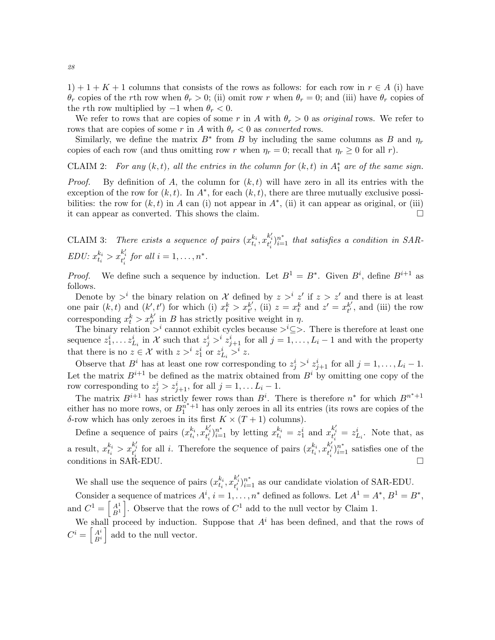$1+1+K+1$  columns that consists of the rows as follows: for each row in  $r \in A$  (i) have  $\theta_r$  copies of the rth row when  $\theta_r > 0$ ; (ii) omit row r when  $\theta_r = 0$ ; and (iii) have  $\theta_r$  copies of the rth row multiplied by  $-1$  when  $\theta_r < 0$ .

We refer to rows that are copies of some r in A with  $\theta_r > 0$  as *original* rows. We refer to rows that are copies of some r in A with  $\theta_r < 0$  as *converted* rows.

Similarly, we define the matrix  $B^*$  from B by including the same columns as B and  $\eta_r$ copies of each row (and thus omitting row r when  $\eta_r = 0$ ; recall that  $\eta_r \geq 0$  for all r).

CLAIM 2: For any  $(k, t)$ , all the entries in the column for  $(k, t)$  in  $A_1^*$  are of the same sign.

*Proof.* By definition of A, the column for  $(k, t)$  will have zero in all its entries with the exception of the row for  $(k, t)$ . In  $A^*$ , for each  $(k, t)$ , there are three mutually exclusive possibilities: the row for  $(k, t)$  in A can (i) not appear in  $A^*$ , (ii) it can appear as original, or (iii) it can appear as converted. This shows the claim.  $\Box$ 

CLAIM 3: There exists a sequence of pairs  $(x_{t_i}^{k_i}, x_{t_i'}^{k_i'})_{i=1}^{n^*}$  that satisfies a condition in SAR-EDU:  $x_{t_i}^{k_i} > x_{t'_i}^{k'_i}$  for all  $i = 1, ..., n^*$ .

*Proof.* We define such a sequence by induction. Let  $B^1 = B^*$ . Given  $B^i$ , define  $B^{i+1}$  as follows.

Denote by  $\geq^{i}$  the binary relation on X defined by  $z \geq^{i} z'$  if  $z > z'$  and there is at least one pair  $(k, t)$  and  $(k', t')$  for which (i)  $x_t^k > x_{t'}^{k'}$  $t'$ , (ii)  $z = x_t^k$  and  $z' = x_{t'}^{k'}$  $t'$ , and (iii) the row corresponding  $x_t^k > x_{t'}^{k'}$  $t'_{t'}$  in B has strictly positive weight in  $\eta$ .

The binary relation  $\geq i$  cannot exhibit cycles because  $\geq i \leq$ . There is therefore at least one sequence  $z_1^i, \ldots z_{L_i}^i$  in X such that  $z_j^i >^i z_{j+1}^i$  for all  $j = 1, \ldots, L_i - 1$  and with the property that there is no  $z \in \mathcal{X}$  with  $z >^i z_1^i$  or  $z_{L_i}^i >^i z$ .

Observe that  $B^i$  has at least one row corresponding to  $z_j^i > i z_{j+1}^i$  for all  $j = 1, ..., L_i - 1$ . Let the matrix  $B^{i+1}$  be defined as the matrix obtained from  $B^i$  by omitting one copy of the row corresponding to  $z_j^i > z_{j+1}^i$ , for all  $j = 1, \ldots L_i - 1$ .

The matrix  $B^{i+1}$  has strictly fewer rows than  $B^i$ . There is therefore  $n^*$  for which  $B^{n^*+1}$ either has no more rows, or  $B_1^{n^*+1}$  has only zeroes in all its entries (its rows are copies of the  $\delta$ -row which has only zeroes in its first  $K \times (T + 1)$  columns).

Define a sequence of pairs  $(x_{t_i}^{k_i}, x_{t_i'}^{k_i'})_{i=1}^{n^*}$  by letting  $x_{t_i}^{k_i} = z_1^i$  and  $x_{t_i'}^{k_i'} = z_{L_i}^i$ . Note that, as a result,  $x_{t_i}^{k_i} > x_{t_i'}^{k_i'}$  for all i. Therefore the sequence of pairs  $(x_{t_i}^{k_i}, x_{t_i'}^{k_i'})_{i=1}^{n^*}$  satisfies one of the conditions in SAR-EDU.

We shall use the sequence of pairs  $(x_{t_i}^{k_i}, x_{t_i'}^{k_i'})_{i=1}^{n^*}$  as our candidate violation of SAR-EDU.

Consider a sequence of matrices  $A^i, i = 1, ..., n^*$  defined as follows. Let  $A^1 = A^*, B^1 = B^*$ , and  $C^1 = \begin{bmatrix} A^1 \\ B^1 \end{bmatrix}$  $B^1$ . Observe that the rows of  $C^1$  add to the null vector by Claim 1.

We shall proceed by induction. Suppose that  $A<sup>i</sup>$  has been defined, and that the rows of  $C^i = \begin{bmatrix} A^i \\ D^i \end{bmatrix}$  $B^i$ add to the null vector.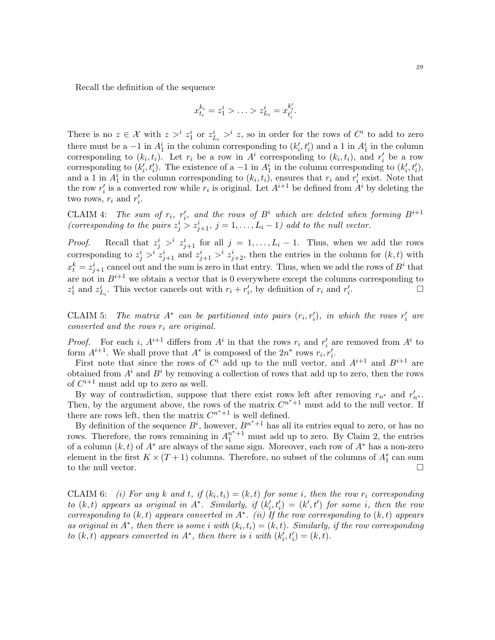Recall the definition of the sequence

$$
x_{t_i}^{k_i} = z_1^i > \ldots > z_{L_i}^i = x_{t_i'}^{k_i'}
$$

There is no  $z \in \mathcal{X}$  with  $z >^i z_1^i$  or  $z_{L_i}^i >^i z$ , so in order for the rows of  $C^i$  to add to zero there must be a -1 in  $A_1^i$  in the column corresponding to  $(k'_i, t'_i)$  and a 1 in  $A_1^i$  in the column corresponding to  $(k_i, t_i)$ . Let  $r_i$  be a row in  $A^i$  corresponding to  $(k_i, t_i)$ , and  $r'_i$  be a row corresponding to  $(k'_i, t'_i)$ . The existence of a -1 in  $A_1^i$  in the column corresponding to  $(k'_i, t'_i)$ , and a 1 in  $A_1^i$  in the column corresponding to  $(k_i, t_i)$ , ensures that  $r_i$  and  $r'_i$  exist. Note that the row  $r_i'$  is a converted row while  $r_i$  is original. Let  $A^{i+1}$  be defined from  $A^i$  by deleting the two rows,  $r_i$  and  $r'_i$ .

CLAIM 4: The sum of  $r_i$ ,  $r'_i$ , and the rows of  $B^i$  which are deleted when forming  $B^{i+1}$ (corresponding to the pairs  $z_j^i > z_{j+1}^i$ ,  $j = 1, ..., L_i - 1$ ) add to the null vector.

*Proof.* Recall that  $z_j^i >^i z_{j+1}^i$  for all  $j = 1, ..., L_i - 1$ . Thus, when we add the rows corresponding to  $z_j^i > i$   $z_{j+1}^i$  and  $z_{j+1}^i > i$   $z_{j+2}^i$ , then the entries in the column for  $(k, t)$  with  $x_t^k = z_{j+1}^i$  cancel out and the sum is zero in that entry. Thus, when we add the rows of  $B^i$  that are not in  $B^{i+1}$  we obtain a vector that is 0 everywhere except the columns corresponding to  $z_1^i$  and  $z_{L_i}^i$ . This vector cancels out with  $r_i + r'_i$ , by definition of  $r_i$  and  $r'_i$ .

CLAIM 5: The matrix  $A^*$  can be partitioned into pairs  $(r_i, r'_i)$ , in which the rows  $r'_i$  are converted and the rows  $r_i$  are original.

*Proof.* For each i,  $A^{i+1}$  differs from  $A^i$  in that the rows  $r_i$  and  $r'_i$  are removed from  $A^i$  to form  $A^{i+1}$ . We shall prove that  $A^*$  is composed of the  $2n^*$  rows  $r_i, r'_i$ .

First note that since the rows of  $C^i$  add up to the null vector, and  $A^{i+1}$  and  $B^{i+1}$  are obtained from  $A^i$  and  $B^i$  by removing a collection of rows that add up to zero, then the rows of  $C^{i+1}$  must add up to zero as well.

By way of contradiction, suppose that there exist rows left after removing  $r_{n^*}$  and  $r'_{n^*}$ . Then, by the argument above, the rows of the matrix  $C^{n^*+1}$  must add to the null vector. If there are rows left, then the matrix  $C^{n^*+1}$  is well defined.

By definition of the sequence  $B^i$ , however,  $B^{n^*+1}$  has all its entries equal to zero, or has no rows. Therefore, the rows remaining in  $A_1^{n^*+1}$  must add up to zero. By Claim 2, the entries of a column  $(k, t)$  of  $A^*$  are always of the same sign. Moreover, each row of  $A^*$  has a non-zero element in the first  $K \times (T+1)$  columns. Therefore, no subset of the columns of  $A_1^*$  can sum to the null vector.

CLAIM 6: (i) For any k and t, if  $(k_i, t_i) = (k, t)$  for some i, then the row  $r_i$  corresponding to  $(k, t)$  appears as original in  $A^*$ . Similarly, if  $(k'_i, t'_i) = (k', t')$  for some i, then the row corresponding to  $(k, t)$  appears converted in  $A^*$ . (ii) If the row corresponding to  $(k, t)$  appears as original in  $A^*$ , then there is some i with  $(k_i, t_i) = (k, t)$ . Similarly, if the row corresponding to  $(k, t)$  appears converted in  $A^*$ , then there is i with  $(k'_i, t'_i) = (k, t)$ .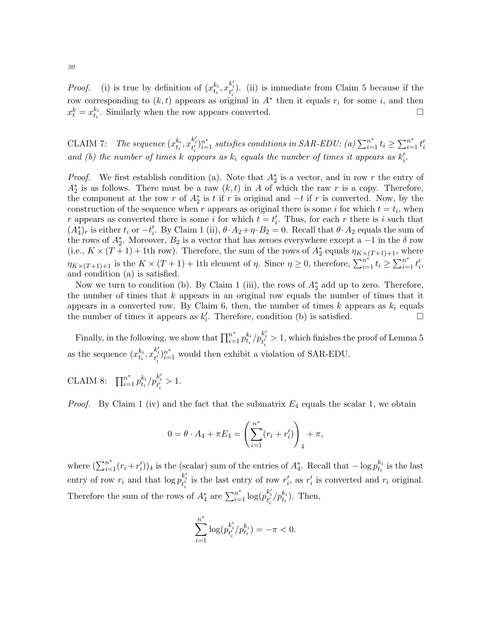*Proof.* (i) is true by definition of  $(x_{t_i}^{k_i}, x_{t_i'}^{k_i'})$ . (ii) is immediate from Claim 5 because if the row corresponding to  $(k, t)$  appears as original in  $A^*$  then it equals  $r_i$  for some i, and then  $x_t^k = x_{t_i}^{k_i}$ . Similarly when the row appears converted.

CLAIM 7: The sequence  $(x_{t_i}^{k_i}, x_{t_i'}^{k_i'})_{i=1}^n$  satisfies conditions in SAR-EDU: (a)  $\sum_{i=1}^{n^*} t_i \ge \sum_{i=1}^{n^*} t_i'$ and (b) the number of times k appears as  $k_i$  equals the number of times it appears as  $k'_i$ .

*Proof.* We first establish condition (a). Note that  $A_2^*$  is a vector, and in row r the entry of  $A_2^*$  is as follows. There must be a raw  $(k, t)$  in A of which the raw r is a copy. Therefore, the component at the row r of  $A_2^*$  is t if r is original and  $-t$  if r is converted. Now, by the construction of the sequence when r appears as original there is some *i* for which  $t = t_i$ , when r appears as converted there is some i for which  $t = t'_{i}$ . Thus, for each r there is i such that  $(A_4^*)_r$  is either  $t_i$  or  $-t'_i$ . By Claim 1 (ii),  $\theta \cdot A_2 + \eta \cdot B_2 = 0$ . Recall that  $\theta \cdot A_2$  equals the sum of the rows of  $A_2^*$ . Moreover,  $B_2$  is a vector that has zeroes everywhere except a  $-1$  in the  $\delta$  row (i.e.,  $K \times (T+1) + 1$ th row). Therefore, the sum of the rows of  $A_2^*$  equals  $\eta_{K \times (T+1)+1}$ , where  $\eta_{K\times(T+1)+1}$  is the  $K\times(T+1)+1$ th element of  $\eta$ . Since  $\eta\geq0$ , therefore,  $\sum_{i=1}^{n^*}t_i\geq\sum_{i=1}^{n^*}t'_i$ , and condition (a) is satisfied.

Now we turn to condition (b). By Claim 1 (iii), the rows of  $A_3^*$  add up to zero. Therefore, the number of times that  $k$  appears in an original row equals the number of times that it appears in a converted row. By Claim 6, then, the number of times  $k$  appears as  $k_i$  equals the number of times it appears as  $k'_i$ . Therefore, condition (b) is satisfied.

Finally, in the following, we show that  $\prod_{i=1}^{n^*} p_{t_i}^{k_i}/p_{t_i'}^{k_i'} > 1$ , which finishes the proof of Lemma 5 as the sequence  $(x_{t_i}^{k_i}, x_{t'_i}^{k'_i})_{i=1}^{n^*}$  would then exhibit a violation of SAR-EDU.

CLAIM 8:  $\prod_{i=1}^{n^*} p_{t_i}^{k_i} / p_{t_i'}^{k_i'} > 1.$ 

*Proof.* By Claim 1 (iv) and the fact that the submatrix  $E_4$  equals the scalar 1, we obtain

$$
0 = \theta \cdot A_4 + \pi E_4 = \left(\sum_{i=1}^{n^*} (r_i + r'_i)\right)_4 + \pi,
$$

where  $(\sum_{i=1}^{n^*}(r_i+r'_i))_4$  is the (scalar) sum of the entries of  $A_4^*$ . Recall that  $-\log p_{t_i}^{k_i}$  is the last entry of row  $r_i$  and that  $\log p_{t'_i}^{k'_i}$  is the last entry of row  $r'_i$ , as  $r'_i$  is converted and  $r_i$  original. Therefore the sum of the rows of  $A_4^*$  are  $\sum_{i=1}^{n^*} \log (p_{t'_i}^{k'_i}/p_{t_i}^{k_i})$ . Then,

$$
\sum_{i=1}^{n^*} \log(p_{t'_i}^{k'_i}/p_{t_i}^{k_i}) = -\pi < 0.
$$